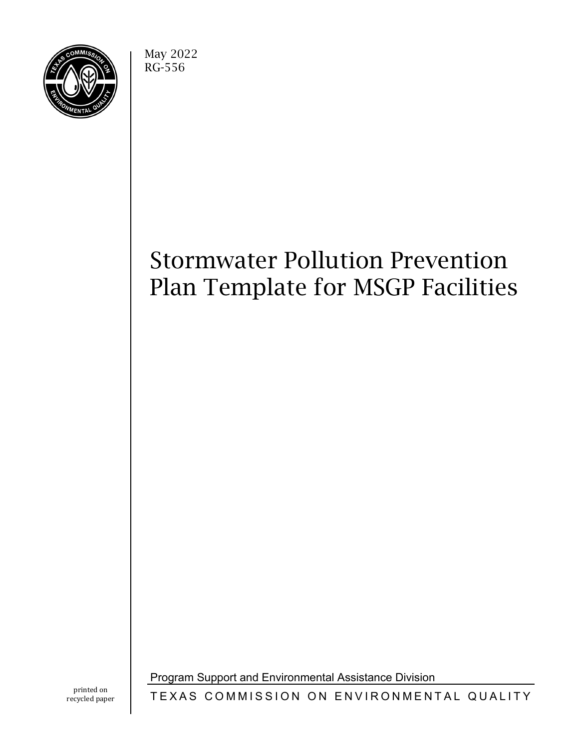

May 2022 RG-556

# Stormwater Pollution Prevention Plan Template for MSGP Facilities

Program Support and Environmental Assistance Division

TEXAS COMMISSION ON ENVIRONMENTAL QUALITY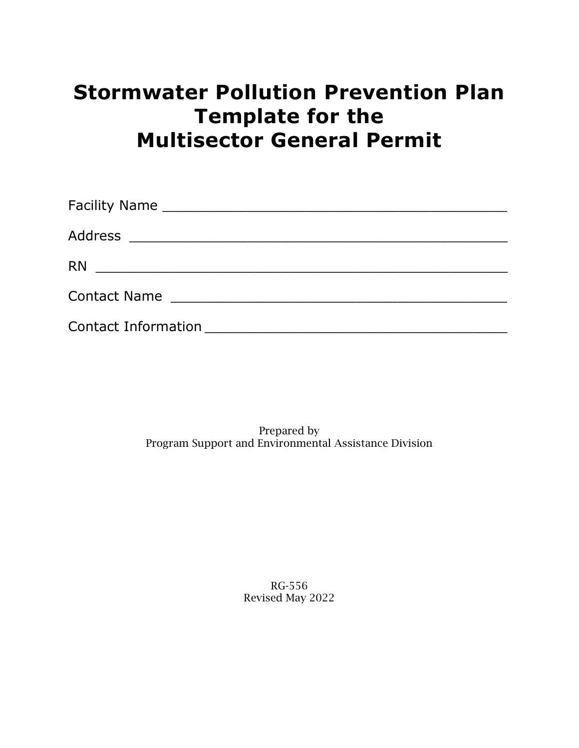# **Stormwater Pollution Prevention Plan Template for the Multisector General Permit**

| Address ____________________________ |
|--------------------------------------|
| <b>RN</b>                            |
| Contact Name Later and Contact Name  |
|                                      |

Prepared by Program Support and Environmental Assistance Division

> RG-556 Revised May 2022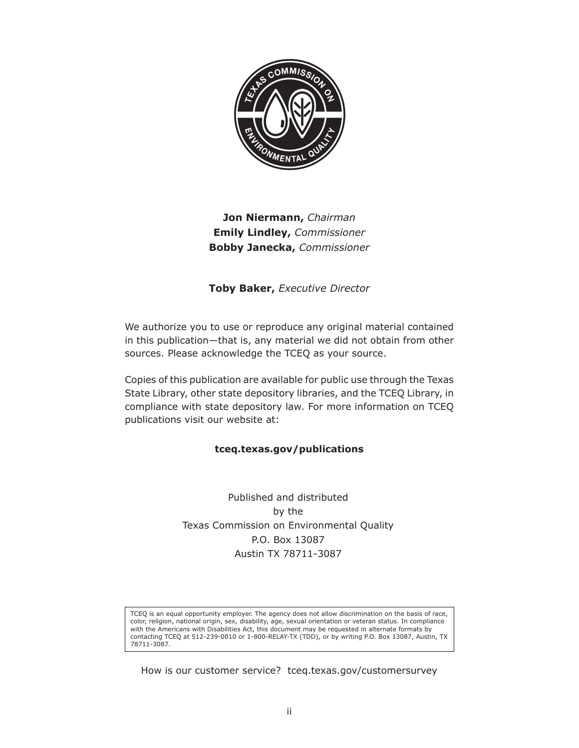

# **Jon Niermann,** *Chairman* **Emily Lindley,** *Commissioner* **Bobby Janecka,** *Commissioner*

### **Toby Baker,** *Executive Director*

We authorize you to use or reproduce any original material contained in this publication—that is, any material we did not obtain from other sources. Please acknowledge the TCEQ as your source.

Copies of this publication are available for public use through the Texas State Library, other state depository libraries, and the TCEQ Library, in compliance with state depository law. For more information on TCEQ publications visit our website at:

### **tceq.texas.gov/publications**

Published and distributed by the Texas Commission on Environmental Quality P.O. Box 13087 Austin TX 78711-3087

TCEQ is an equal opportunity employer. The agency does not allow discrimination on the basis of race, color, religion, national origin, sex, disability, age, sexual orientation or veteran status. In compliance with the Americans with Disabilities Act, this document may be requested in alternate formats by contacting TCEQ at 512-239-0010 or 1-800-RELAY-TX (TDD), or by writing P.O. Box 13087, Austin, TX 78711-3087.

How is our customer service? tceq.texas.gov/customersurvey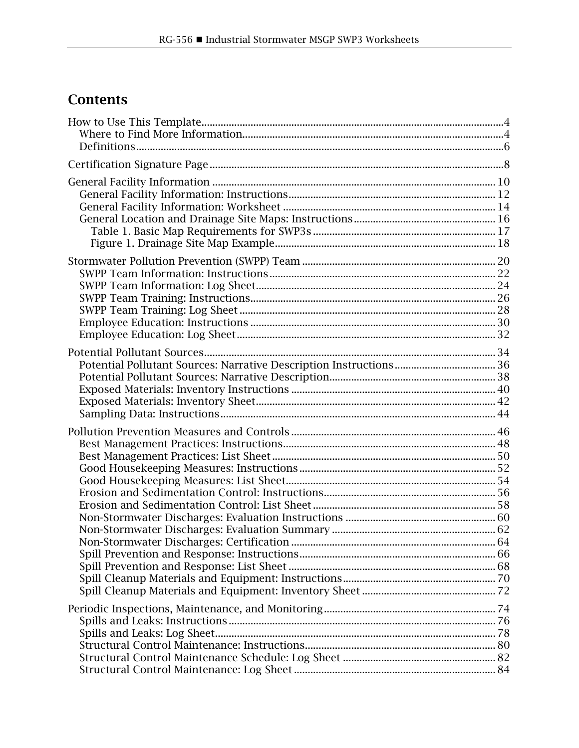# **Contents**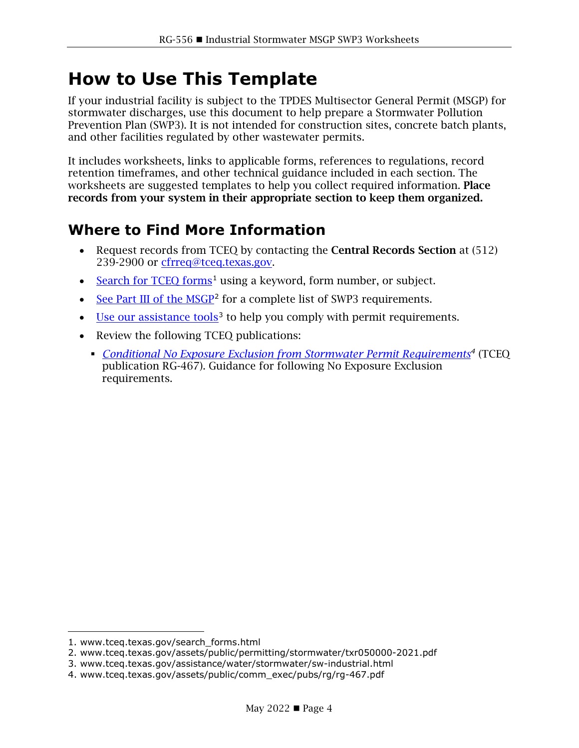# <span id="page-6-0"></span>**How to Use This Template**

If your industrial facility is subject to the TPDES Multisector General Permit (MSGP) for stormwater discharges, use this document to help prepare a Stormwater Pollution Prevention Plan (SWP3). It is not intended for construction sites, concrete batch plants, and other facilities regulated by other wastewater permits.

It includes worksheets, links to applicable forms, references to regulations, record retention timeframes, and other technical guidance included in each section. The worksheets are suggested templates to help you collect required information. Place records from your system in their appropriate section to keep them organized.

# <span id="page-6-1"></span>**Where to Find More Information**

- Request records from TCEO by contacting the **Central Records Section** at (512) 239-2900 or [cfrreq@tceq.texas.gov.](mailto:cfrreq@tceq.texas.gov)
- [Search for TCEQ forms](http://www.tceq.texas.gov/search_forms.html)<sup>[1](#page-6-2)</sup> using a keyword, form number, or subject.
- [See Part III of the MSGP](https://www.tceq.texas.gov/assets/public/permitting/stormwater/txr050000-2021.pdf)<sup>[2](#page-6-3)</sup> for a complete list of SWP3 requirements.
- [Use our assistance tools](https://www.tceq.texas.gov/assistance/water/stormwater/sw-industrial.html)<sup>[3](#page-6-4)</sup> to help you comply with permit requirements.
- Review the following TCEQ publications:
	- *[Conditional No Exposure Exclusion from Stormwater Permit Requirements](https://www.tceq.texas.gov/assets/public/comm_exec/pubs/rg/rg-467.pdf)[4](#page-6-5)* (TCEQ publication RG-467). Guidance for following No Exposure Exclusion requirements.

<span id="page-6-2"></span><sup>1.</sup> www.tceq.texas.gov/search\_forms.html

<span id="page-6-3"></span><sup>2.</sup> www.tceq.texas.gov/assets/public/permitting/stormwater/txr050000-2021.pdf

<span id="page-6-4"></span><sup>3.</sup> www.tceq.texas.gov/assistance/water/stormwater/sw-industrial.html

<span id="page-6-5"></span><sup>4.</sup> www.tceq.texas.gov/assets/public/comm\_exec/pubs/rg/rg-467.pdf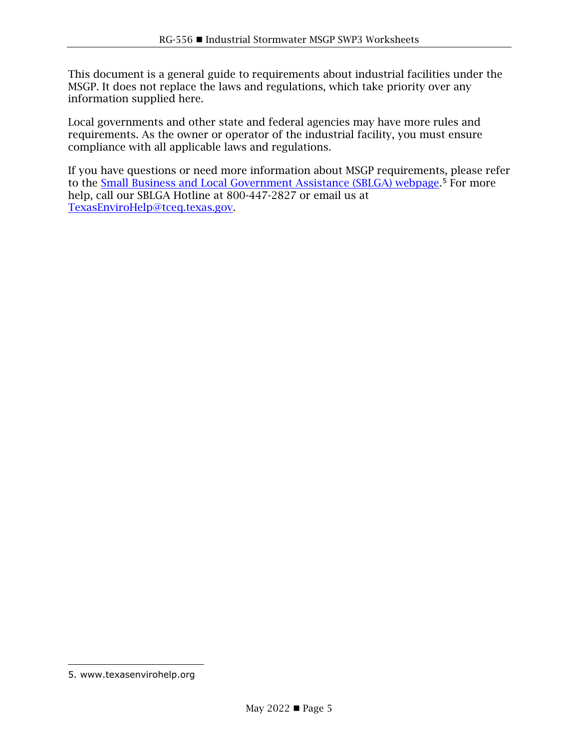This document is a general guide to requirements about industrial facilities under the MSGP. It does not replace the laws and regulations, which take priority over any information supplied here.

Local governments and other state and federal agencies may have more rules and requirements. As the owner or operator of the industrial facility, you must ensure compliance with all applicable laws and regulations.

If you have questions or need more information about MSGP requirements, please refer to the **Small Business and Local Government Assistance (SBLGA) webpage.<sup>[5](#page-7-0)</sup> For more** help, call our SBLGA Hotline at 800-447-2827 or email us at [TexasEnviroHelp@tceq.texas.gov.](mailto:TexasEnviroHelp@tceq.texas.gov)

<span id="page-7-0"></span><sup>5.</sup> www.texasenvirohelp.org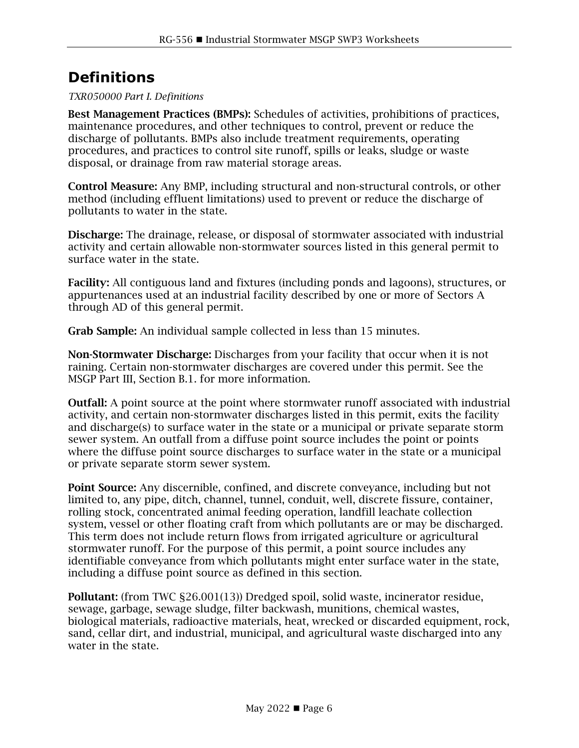# <span id="page-8-0"></span>**Definitions**

### *TXR050000 Part I. Definitions*

Best Management Practices (BMPs): Schedules of activities, prohibitions of practices, maintenance procedures, and other techniques to control, prevent or reduce the discharge of pollutants. BMPs also include treatment requirements, operating procedures, and practices to control site runoff, spills or leaks, sludge or waste disposal, or drainage from raw material storage areas.

Control Measure: Any BMP, including structural and non-structural controls, or other method (including effluent limitations) used to prevent or reduce the discharge of pollutants to water in the state.

Discharge: The drainage, release, or disposal of stormwater associated with industrial activity and certain allowable non-stormwater sources listed in this general permit to surface water in the state.

Facility: All contiguous land and fixtures (including ponds and lagoons), structures, or appurtenances used at an industrial facility described by one or more of Sectors A through AD of this general permit.

Grab Sample: An individual sample collected in less than 15 minutes.

Non-Stormwater Discharge: Discharges from your facility that occur when it is not raining. Certain non-stormwater discharges are covered under this permit. See the MSGP Part III, Section B.1. for more information.

Outfall: A point source at the point where stormwater runoff associated with industrial activity, and certain non-stormwater discharges listed in this permit, exits the facility and discharge(s) to surface water in the state or a municipal or private separate storm sewer system. An outfall from a diffuse point source includes the point or points where the diffuse point source discharges to surface water in the state or a municipal or private separate storm sewer system.

Point Source: Any discernible, confined, and discrete conveyance, including but not limited to, any pipe, ditch, channel, tunnel, conduit, well, discrete fissure, container, rolling stock, concentrated animal feeding operation, landfill leachate collection system, vessel or other floating craft from which pollutants are or may be discharged. This term does not include return flows from irrigated agriculture or agricultural stormwater runoff. For the purpose of this permit, a point source includes any identifiable conveyance from which pollutants might enter surface water in the state, including a diffuse point source as defined in this section.

Pollutant: (from TWC §26.001(13)) Dredged spoil, solid waste, incinerator residue, sewage, garbage, sewage sludge, filter backwash, munitions, chemical wastes, biological materials, radioactive materials, heat, wrecked or discarded equipment, rock, sand, cellar dirt, and industrial, municipal, and agricultural waste discharged into any water in the state.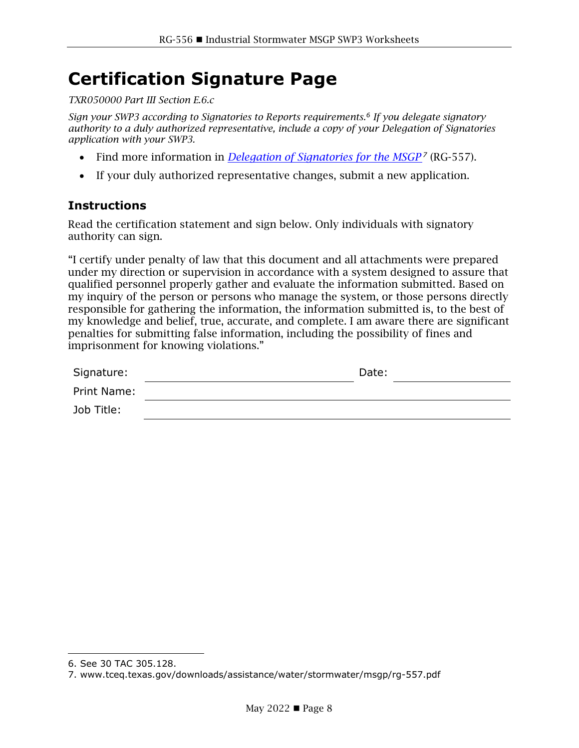# <span id="page-10-0"></span>**Certification Signature Page**

### *TXR050000 Part III Section E.6.c*

*Sign your SWP3 according to Signatories to Reports requirements. [6](#page-10-1) If you delegate signatory authority to a duly authorized representative, include a copy of your Delegation of Signatories application with your SWP3.*

- Find more information in *[Delegation of Signatories for the MSGP](https://www.tceq.texas.gov/downloads/assistance/water/stormwater/msgp/rg-557.pdf)*<sup>[7](#page-10-2)</sup> (RG-557).
- If your duly authorized representative changes, submit a new application.

### **Instructions**

Read the certification statement and sign below. Only individuals with signatory authority can sign.

"I certify under penalty of law that this document and all attachments were prepared under my direction or supervision in accordance with a system designed to assure that qualified personnel properly gather and evaluate the information submitted. Based on my inquiry of the person or persons who manage the system, or those persons directly responsible for gathering the information, the information submitted is, to the best of my knowledge and belief, true, accurate, and complete. I am aware there are significant penalties for submitting false information, including the possibility of fines and imprisonment for knowing violations."

| Signature:  | Date: |
|-------------|-------|
| Print Name: |       |
| Job Title:  |       |

<span id="page-10-1"></span><sup>6.</sup> See 30 TAC 305.128.

<span id="page-10-2"></span><sup>7.</sup> www.tceq.texas.gov/downloads/assistance/water/stormwater/msgp/rg-557.pdf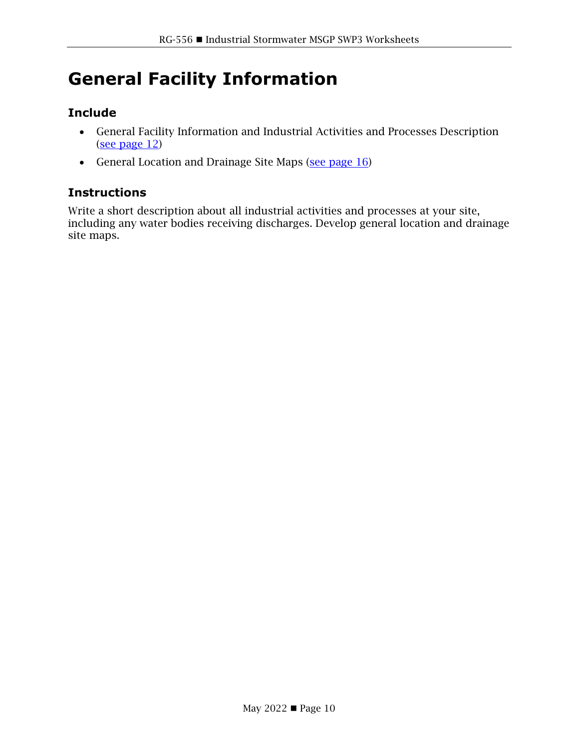# <span id="page-12-0"></span>**General Facility Information**

# **Include**

- General Facility Information and Industrial Activities and Processes Description [\(see page 12\)](#page-14-0)
- General Location and Drainage Site Maps [\(see page 16\)](#page-18-0)

# **Instructions**

Write a short description about all industrial activities and processes at your site, including any water bodies receiving discharges. Develop general location and drainage site maps.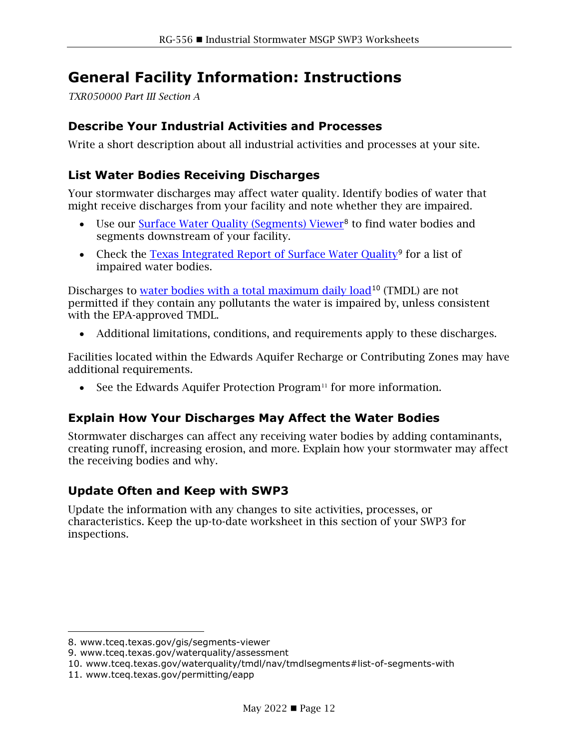# <span id="page-14-0"></span>**General Facility Information: Instructions**

*TXR050000 Part III Section A*

# **Describe Your Industrial Activities and Processes**

Write a short description about all industrial activities and processes at your site.

# **List Water Bodies Receiving Discharges**

Your stormwater discharges may affect water quality. Identify bodies of water that might receive discharges from your facility and note whether they are impaired.

- Use our [Surface Water Quality \(Segments\) Viewer](https://www.tceq.texas.gov/gis/segments-viewer)<sup>[8](#page-14-1)</sup> to find water bodies and segments downstream of your facility.
- Check the [Texas Integrated Report of Surface Water Quality](https://www.tceq.texas.gov/waterquality/assessment)<sup>[9](#page-14-2)</sup> for a list of impaired water bodies.

Discharges to [water bodies with a total maximum daily load](https://www.tceq.texas.gov/waterquality/tmdl/nav/tmdlsegments#list-of-segments-with)<sup>[10](#page-14-3)</sup> (TMDL) are not permitted if they contain any pollutants the water is impaired by, unless consistent with the EPA-approved TMDL.

• Additional limitations, conditions, and requirements apply to these discharges.

Facilities located within the Edwards Aquifer Recharge or Contributing Zones may have additional requirements.

• See the [Edwards Aquifer Protection Program](https://www.tceq.texas.gov/permitting/eapp)<sup>[11](#page-14-4)</sup> for more information.

# **Explain How Your Discharges May Affect the Water Bodies**

Stormwater discharges can affect any receiving water bodies by adding contaminants, creating runoff, increasing erosion, and more. Explain how your stormwater may affect the receiving bodies and why.

# **Update Often and Keep with SWP3**

Update the information with any changes to site activities, processes, or characteristics. Keep the up-to-date worksheet in this section of your SWP3 for inspections.

<span id="page-14-1"></span><sup>8.</sup> www.tceq.texas.gov/gis/segments-viewer

<span id="page-14-3"></span><span id="page-14-2"></span><sup>9.</sup> www.tceq.texas.gov/waterquality/assessment

<sup>10.</sup> www.tceq.texas.gov/waterquality/tmdl/nav/tmdlsegments#list-of-segments-with

<span id="page-14-4"></span><sup>11.</sup> www.tceq.texas.gov/permitting/eapp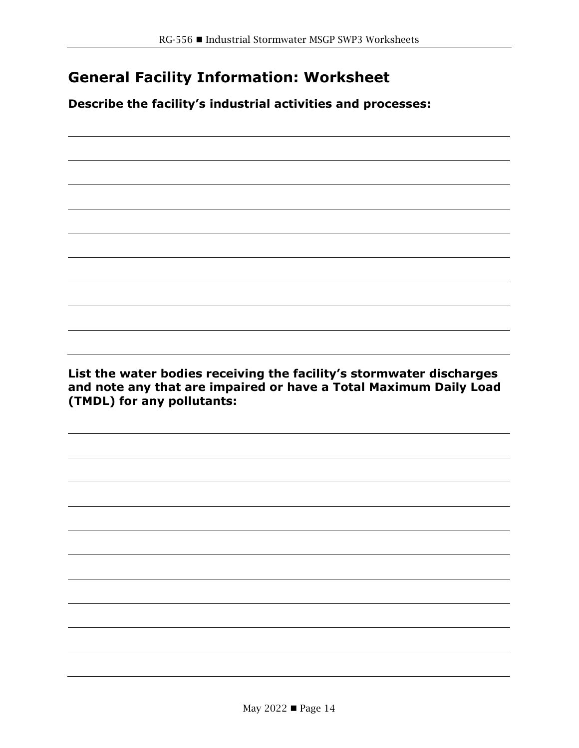# <span id="page-16-0"></span>**General Facility Information: Worksheet**

**Describe the facility's industrial activities and processes:**

**List the water bodies receiving the facility's stormwater discharges and note any that are impaired or have a Total Maximum Daily Load (TMDL) for any pollutants:**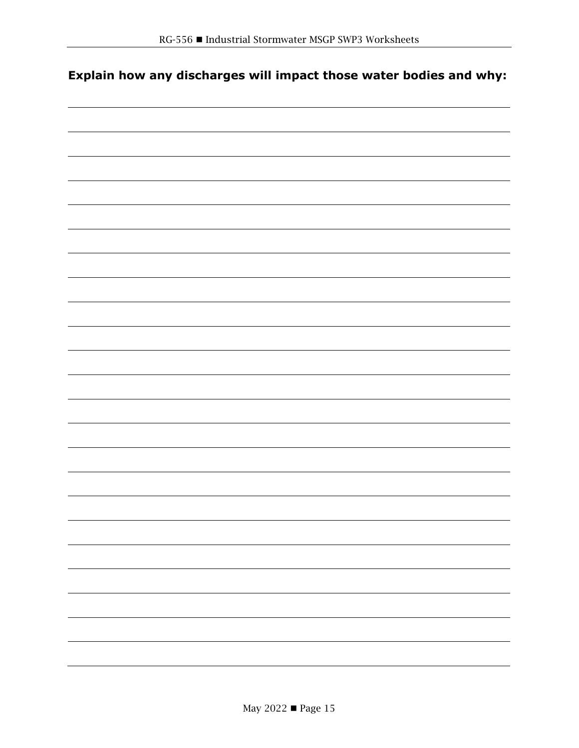# **Explain how any discharges will impact those water bodies and why:**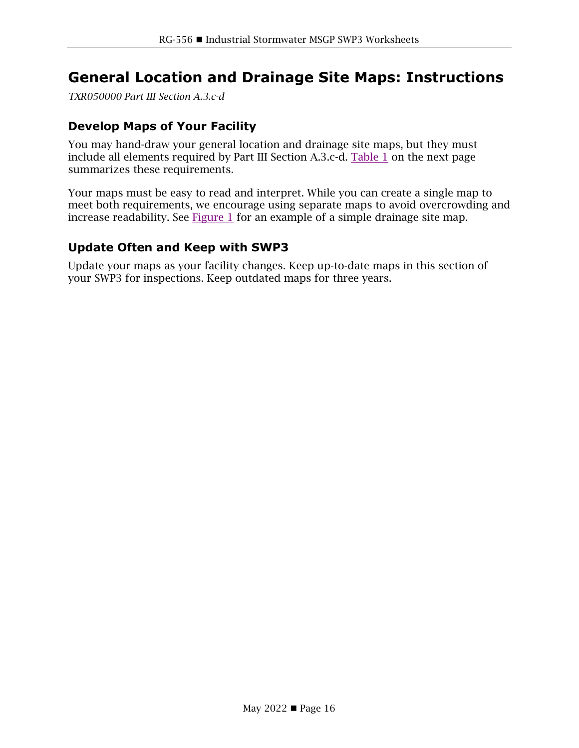# <span id="page-18-0"></span>**General Location and Drainage Site Maps: Instructions**

*TXR050000 Part III Section A.3.c-d*

### **Develop Maps of Your Facility**

You may hand-draw your general location and drainage site maps, but they must include all elements required by Part III Section A.3.c-d. [Table 1](#page-19-1) on the next page summarizes these requirements.

Your maps must be easy to read and interpret. While you can create a single map to meet both requirements, we encourage using separate maps to avoid overcrowding and increase readability. See  $Figure 1$  for an example of a simple drainage site map.

# **Update Often and Keep with SWP3**

Update your maps as your facility changes. Keep up-to-date maps in this section of your SWP3 for inspections. Keep outdated maps for three years.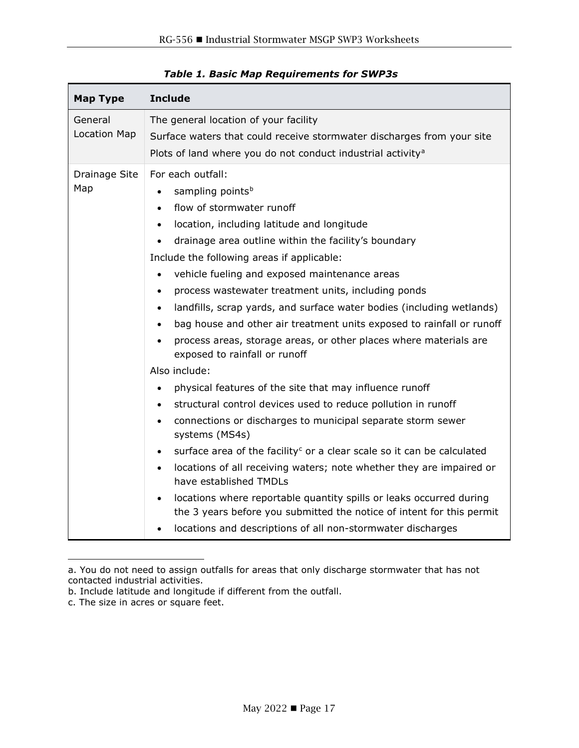<span id="page-19-0"></span>

| <b>Map Type</b>                | <b>Include</b>                                                                                                                                                                                                                                                                                                                                                                                                                                                                                                                                                                                                                                                                                                                                                                                                                                                                                                                                                                                                                                                                                                                                                                                                                                                                                                                                                                                      |
|--------------------------------|-----------------------------------------------------------------------------------------------------------------------------------------------------------------------------------------------------------------------------------------------------------------------------------------------------------------------------------------------------------------------------------------------------------------------------------------------------------------------------------------------------------------------------------------------------------------------------------------------------------------------------------------------------------------------------------------------------------------------------------------------------------------------------------------------------------------------------------------------------------------------------------------------------------------------------------------------------------------------------------------------------------------------------------------------------------------------------------------------------------------------------------------------------------------------------------------------------------------------------------------------------------------------------------------------------------------------------------------------------------------------------------------------------|
| General<br><b>Location Map</b> | The general location of your facility<br>Surface waters that could receive stormwater discharges from your site<br>Plots of land where you do not conduct industrial activity <sup>a</sup>                                                                                                                                                                                                                                                                                                                                                                                                                                                                                                                                                                                                                                                                                                                                                                                                                                                                                                                                                                                                                                                                                                                                                                                                          |
| Drainage Site<br>Map           | For each outfall:<br>sampling points <sup>b</sup><br>$\bullet$<br>flow of stormwater runoff<br>$\bullet$<br>location, including latitude and longitude<br>$\bullet$<br>drainage area outline within the facility's boundary<br>Include the following areas if applicable:<br>vehicle fueling and exposed maintenance areas<br>$\bullet$<br>process wastewater treatment units, including ponds<br>$\bullet$<br>landfills, scrap yards, and surface water bodies (including wetlands)<br>$\bullet$<br>bag house and other air treatment units exposed to rainfall or runoff<br>process areas, storage areas, or other places where materials are<br>exposed to rainfall or runoff<br>Also include:<br>physical features of the site that may influence runoff<br>$\bullet$<br>structural control devices used to reduce pollution in runoff<br>$\bullet$<br>connections or discharges to municipal separate storm sewer<br>$\bullet$<br>systems (MS4s)<br>surface area of the facility <sup>c</sup> or a clear scale so it can be calculated<br>$\bullet$<br>locations of all receiving waters; note whether they are impaired or<br>$\bullet$<br>have established TMDLs<br>locations where reportable quantity spills or leaks occurred during<br>$\bullet$<br>the 3 years before you submitted the notice of intent for this permit<br>locations and descriptions of all non-stormwater discharges |

<span id="page-19-1"></span>

|  |  |  |  | <b>Table 1. Basic Map Requirements for SWP3s</b> |
|--|--|--|--|--------------------------------------------------|
|  |  |  |  |                                                  |

<span id="page-19-4"></span>c. The size in acres or square feet.

<span id="page-19-2"></span>a. You do not need to assign outfalls for areas that only discharge stormwater that has not contacted industrial activities.

<span id="page-19-3"></span>b. Include latitude and longitude if different from the outfall.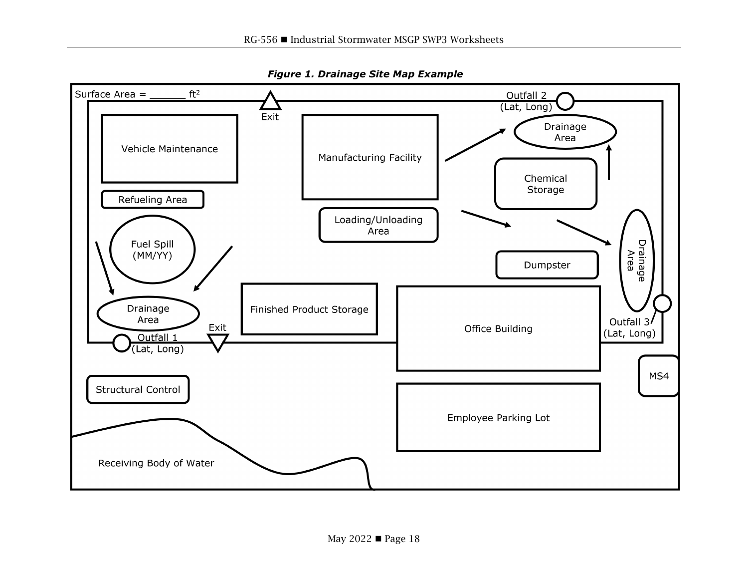<span id="page-20-0"></span>

*Figure 1. Drainage Site Map Example*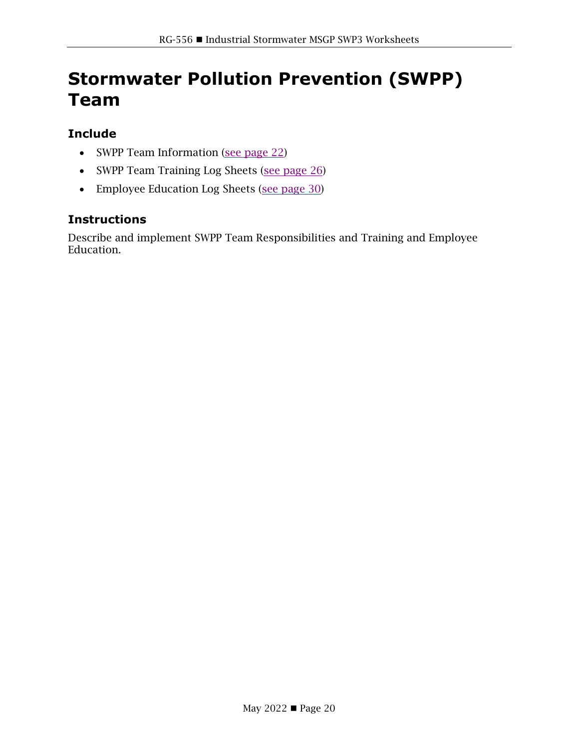# <span id="page-22-0"></span>**Stormwater Pollution Prevention (SWPP) Team**

# **Include**

- SWPP Team Information [\(see page 22\)](#page-24-0)
- SWPP Team Training Log Sheets [\(see page 26\)](#page-28-0)
- Employee Education Log Sheets [\(see page 30\)](#page-32-0)

# **Instructions**

Describe and implement SWPP Team Responsibilities and Training and Employee Education.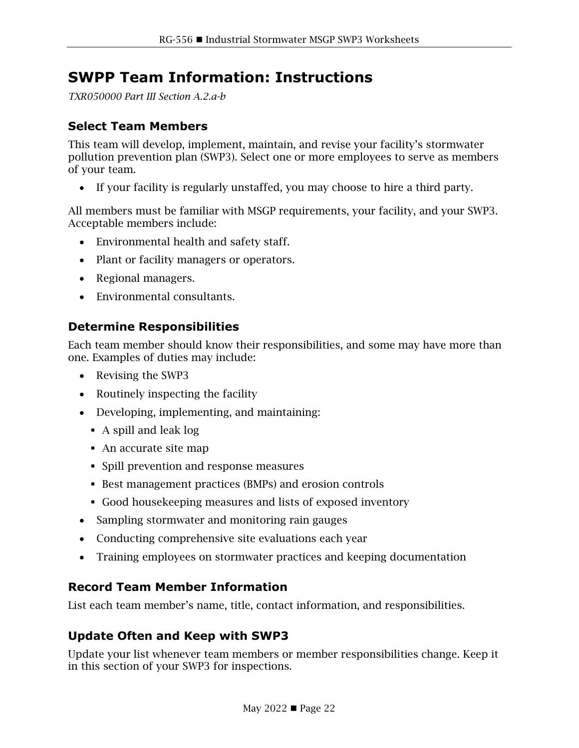# <span id="page-24-0"></span>**SWPP Team Information: Instructions**

*TXR050000 Part III Section A.2.a-b*

# **Select Team Members**

This team will develop, implement, maintain, and revise your facility's stormwater pollution prevention plan (SWP3). Select one or more employees to serve as members of your team.

• If your facility is regularly unstaffed, you may choose to hire a third party.

All members must be familiar with MSGP requirements, your facility, and your SWP3. Acceptable members include:

- Environmental health and safety staff.
- Plant or facility managers or operators.
- Regional managers.
- Environmental consultants.

# **Determine Responsibilities**

Each team member should know their responsibilities, and some may have more than one. Examples of duties may include:

- Revising the SWP3
- Routinely inspecting the facility
- Developing, implementing, and maintaining:
	- A spill and leak log
	- An accurate site map
	- Spill prevention and response measures
	- Best management practices (BMPs) and erosion controls
	- Good housekeeping measures and lists of exposed inventory
- Sampling stormwater and monitoring rain gauges
- Conducting comprehensive site evaluations each year
- Training employees on stormwater practices and keeping documentation

# **Record Team Member Information**

List each team member's name, title, contact information, and responsibilities.

# **Update Often and Keep with SWP3**

Update your list whenever team members or member responsibilities change. Keep it in this section of your SWP3 for inspections.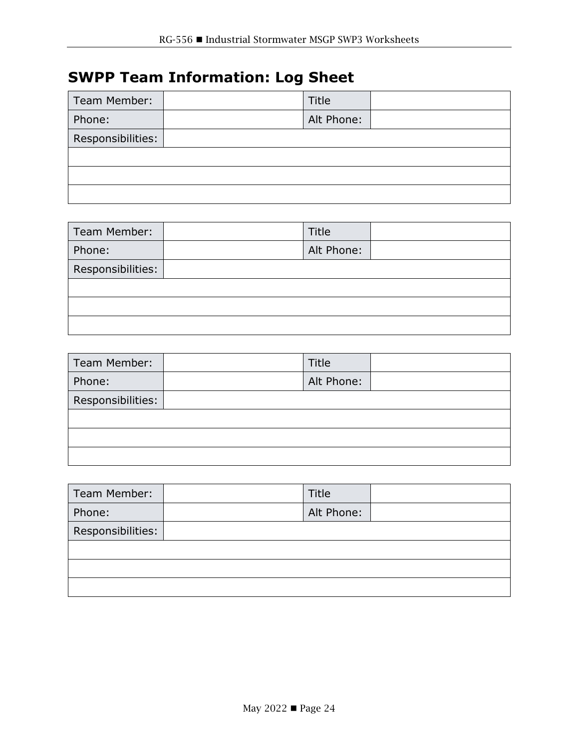# <span id="page-26-0"></span>**SWPP Team Information: Log Sheet**

| Team Member:      | Title      |  |
|-------------------|------------|--|
| Phone:            | Alt Phone: |  |
| Responsibilities: |            |  |
|                   |            |  |
|                   |            |  |
|                   |            |  |

| Team Member:      | <b>Title</b> |  |
|-------------------|--------------|--|
| Phone:            | Alt Phone:   |  |
| Responsibilities: |              |  |
|                   |              |  |
|                   |              |  |
|                   |              |  |

| Team Member:      | Title      |  |
|-------------------|------------|--|
| Phone:            | Alt Phone: |  |
| Responsibilities: |            |  |
|                   |            |  |
|                   |            |  |
|                   |            |  |

| Team Member:      | <b>Title</b> |  |
|-------------------|--------------|--|
| Phone:            | Alt Phone:   |  |
| Responsibilities: |              |  |
|                   |              |  |
|                   |              |  |
|                   |              |  |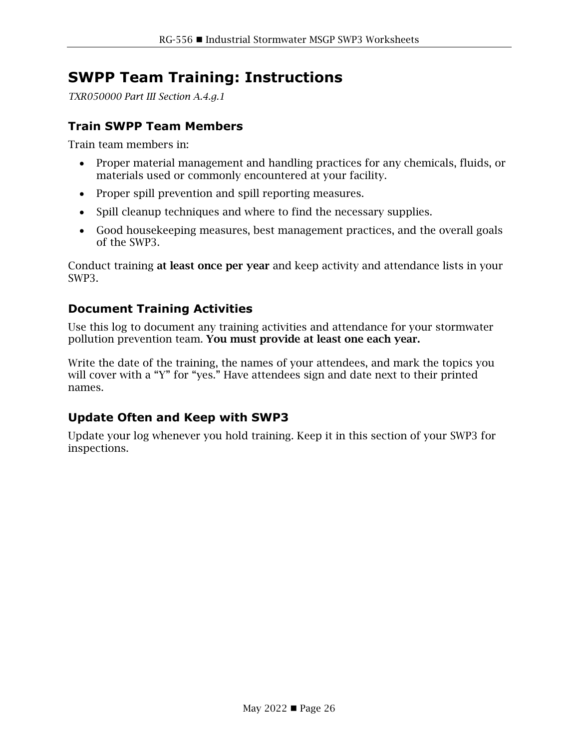# <span id="page-28-0"></span>**SWPP Team Training: Instructions**

*TXR050000 Part III Section A.4.g.1*

# **Train SWPP Team Members**

Train team members in:

- Proper material management and handling practices for any chemicals, fluids, or materials used or commonly encountered at your facility.
- Proper spill prevention and spill reporting measures.
- Spill cleanup techniques and where to find the necessary supplies.
- Good housekeeping measures, best management practices, and the overall goals of the SWP3.

Conduct training at least once per year and keep activity and attendance lists in your SWP3.

# **Document Training Activities**

Use this log to document any training activities and attendance for your stormwater pollution prevention team. You must provide at least one each year.

Write the date of the training, the names of your attendees, and mark the topics you will cover with a "Y" for "yes." Have attendees sign and date next to their printed names.

# **Update Often and Keep with SWP3**

Update your log whenever you hold training. Keep it in this section of your SWP3 for inspections.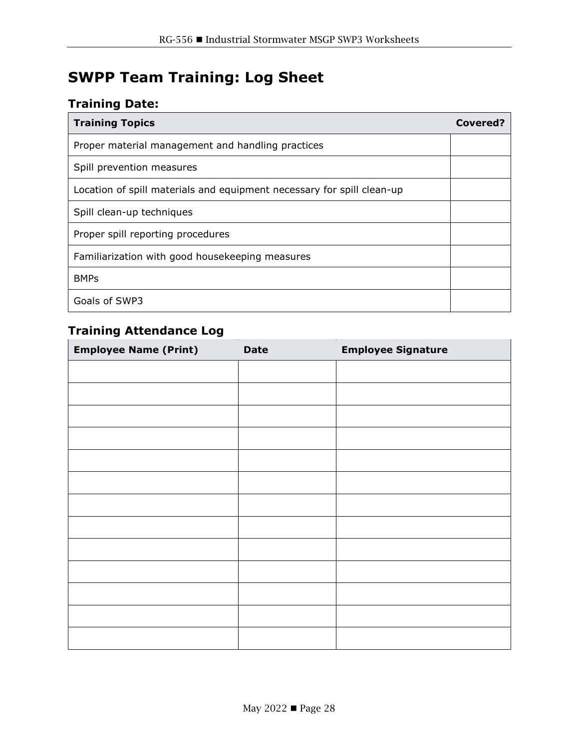# <span id="page-30-0"></span>**SWPP Team Training: Log Sheet**

# **Training Date:**

| <b>Training Topics</b>                                                 | Covered? |
|------------------------------------------------------------------------|----------|
| Proper material management and handling practices                      |          |
| Spill prevention measures                                              |          |
| Location of spill materials and equipment necessary for spill clean-up |          |
| Spill clean-up techniques                                              |          |
| Proper spill reporting procedures                                      |          |
| Familiarization with good housekeeping measures                        |          |
| <b>BMPs</b>                                                            |          |
| Goals of SWP3                                                          |          |

# **Training Attendance Log**

| <b>Employee Name (Print)</b> | <b>Date</b> | <b>Employee Signature</b> |
|------------------------------|-------------|---------------------------|
|                              |             |                           |
|                              |             |                           |
|                              |             |                           |
|                              |             |                           |
|                              |             |                           |
|                              |             |                           |
|                              |             |                           |
|                              |             |                           |
|                              |             |                           |
|                              |             |                           |
|                              |             |                           |
|                              |             |                           |
|                              |             |                           |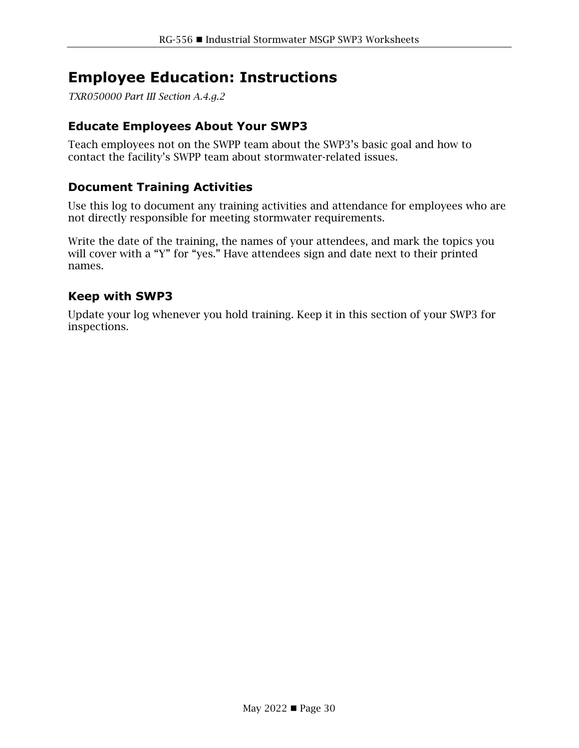# <span id="page-32-0"></span>**Employee Education: Instructions**

*TXR050000 Part III Section A.4.g.2*

# **Educate Employees About Your SWP3**

Teach employees not on the SWPP team about the SWP3's basic goal and how to contact the facility's SWPP team about stormwater-related issues.

# **Document Training Activities**

Use this log to document any training activities and attendance for employees who are not directly responsible for meeting stormwater requirements.

Write the date of the training, the names of your attendees, and mark the topics you will cover with a "Y" for "yes." Have attendees sign and date next to their printed names.

# **Keep with SWP3**

Update your log whenever you hold training. Keep it in this section of your SWP3 for inspections.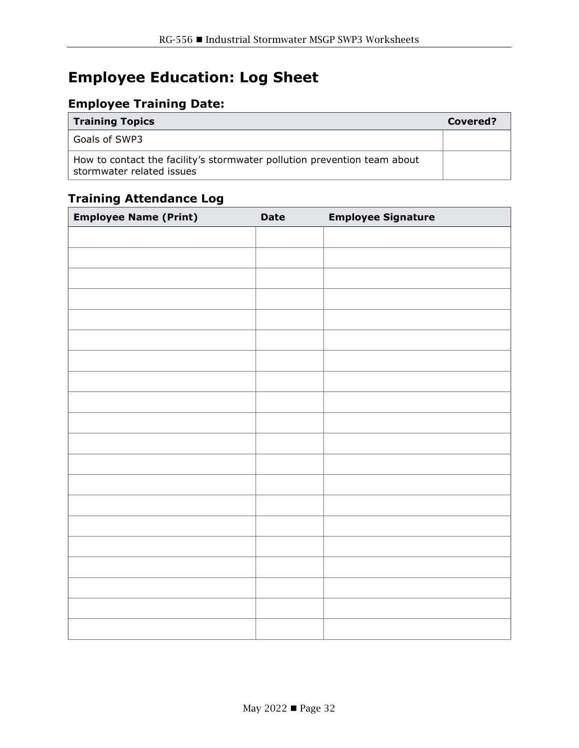# <span id="page-34-0"></span>**Employee Education: Log Sheet**

# **Employee Training Date:**

| <b>Training Topics</b>                                                                                | Covered? |
|-------------------------------------------------------------------------------------------------------|----------|
| Goals of SWP3                                                                                         |          |
| How to contact the facility's stormwater pollution prevention team about<br>stormwater related issues |          |

# **Training Attendance Log**

| <b>Employee Name (Print)</b> | <b>Date</b> | <b>Employee Signature</b> |
|------------------------------|-------------|---------------------------|
|                              |             |                           |
|                              |             |                           |
|                              |             |                           |
|                              |             |                           |
|                              |             |                           |
|                              |             |                           |
|                              |             |                           |
|                              |             |                           |
|                              |             |                           |
|                              |             |                           |
|                              |             |                           |
|                              |             |                           |
|                              |             |                           |
|                              |             |                           |
|                              |             |                           |
|                              |             |                           |
|                              |             |                           |
|                              |             |                           |
|                              |             |                           |
|                              |             |                           |
|                              |             |                           |
|                              |             |                           |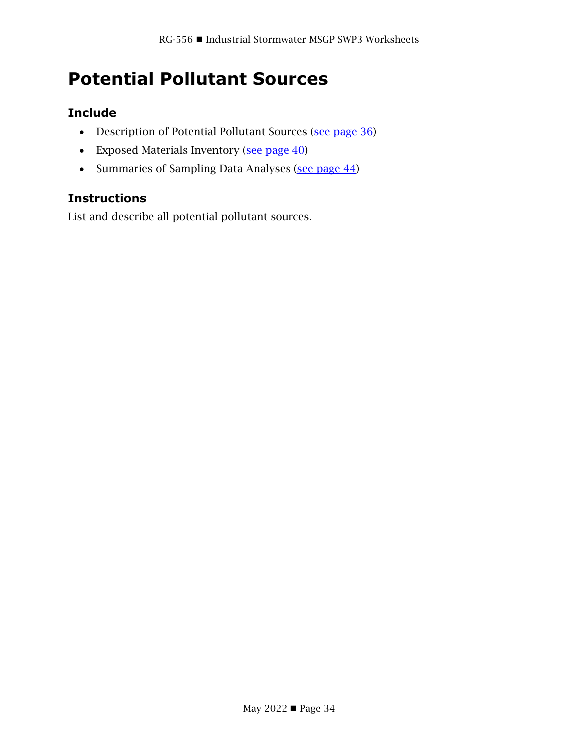# **Potential Pollutant Sources**

#### **Include**

- Description of Potential Pollutant Sources [\(see page 36\)](#page-38-0)
- Exposed Materials Inventory [\(see page 40\)](#page-42-0)
- Summaries of Sampling Data Analyses [\(see page 44\)](#page-46-0)

#### **Instructions**

List and describe all potential pollutant sources.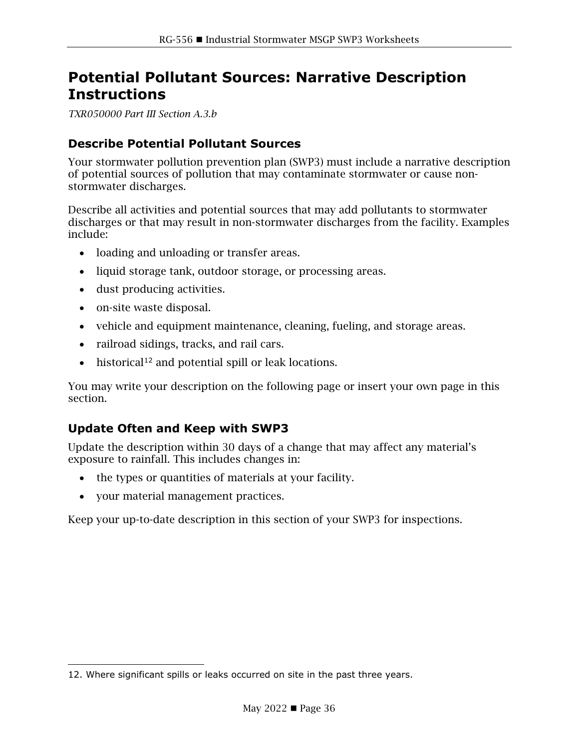## <span id="page-38-0"></span>**Potential Pollutant Sources: Narrative Description Instructions**

*TXR050000 Part III Section A.3.b*

#### **Describe Potential Pollutant Sources**

Your stormwater pollution prevention plan (SWP3) must include a narrative description of potential sources of pollution that may contaminate stormwater or cause nonstormwater discharges.

Describe all activities and potential sources that may add pollutants to stormwater discharges or that may result in non-stormwater discharges from the facility. Examples include:

- loading and unloading or transfer areas.
- liquid storage tank, outdoor storage, or processing areas.
- dust producing activities.
- on-site waste disposal.
- vehicle and equipment maintenance, cleaning, fueling, and storage areas.
- railroad sidings, tracks, and rail cars.
- $\bullet$  historical<sup>[12](#page-38-1)</sup> and potential spill or leak locations.

You may write your description on the following page or insert your own page in this section.

#### **Update Often and Keep with SWP3**

Update the description within 30 days of a change that may affect any material's exposure to rainfall. This includes changes in:

- the types or quantities of materials at your facility.
- your material management practices.

Keep your up-to-date description in this section of your SWP3 for inspections.

<span id="page-38-1"></span><sup>12.</sup> Where significant spills or leaks occurred on site in the past three years.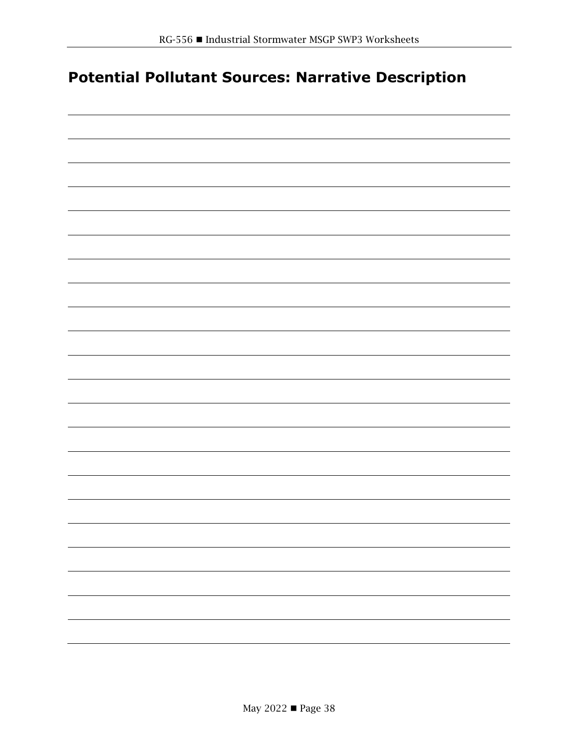# **Potential Pollutant Sources: Narrative Description**

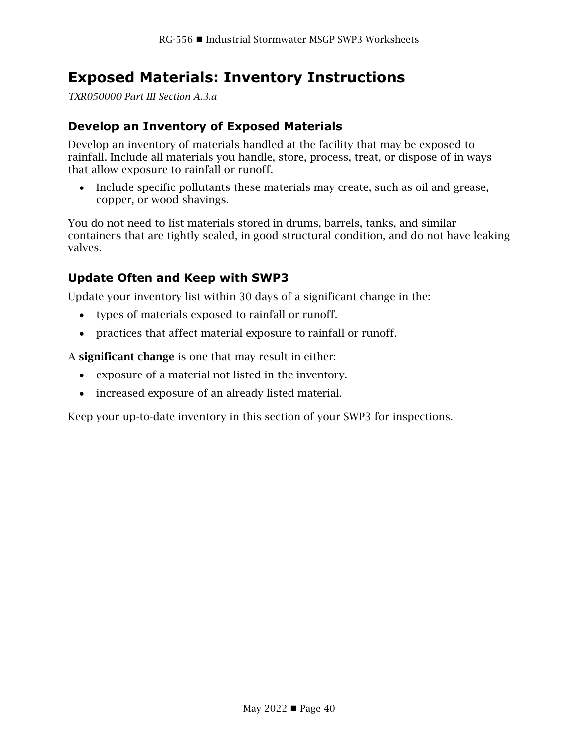## <span id="page-42-0"></span>**Exposed Materials: Inventory Instructions**

*TXR050000 Part III Section A.3.a*

#### **Develop an Inventory of Exposed Materials**

Develop an inventory of materials handled at the facility that may be exposed to rainfall. Include all materials you handle, store, process, treat, or dispose of in ways that allow exposure to rainfall or runoff.

• Include specific pollutants these materials may create, such as oil and grease, copper, or wood shavings.

You do not need to list materials stored in drums, barrels, tanks, and similar containers that are tightly sealed, in good structural condition, and do not have leaking valves.

#### **Update Often and Keep with SWP3**

Update your inventory list within 30 days of a significant change in the:

- types of materials exposed to rainfall or runoff.
- practices that affect material exposure to rainfall or runoff.

A significant change is one that may result in either:

- exposure of a material not listed in the inventory.
- increased exposure of an already listed material.

Keep your up-to-date inventory in this section of your SWP3 for inspections.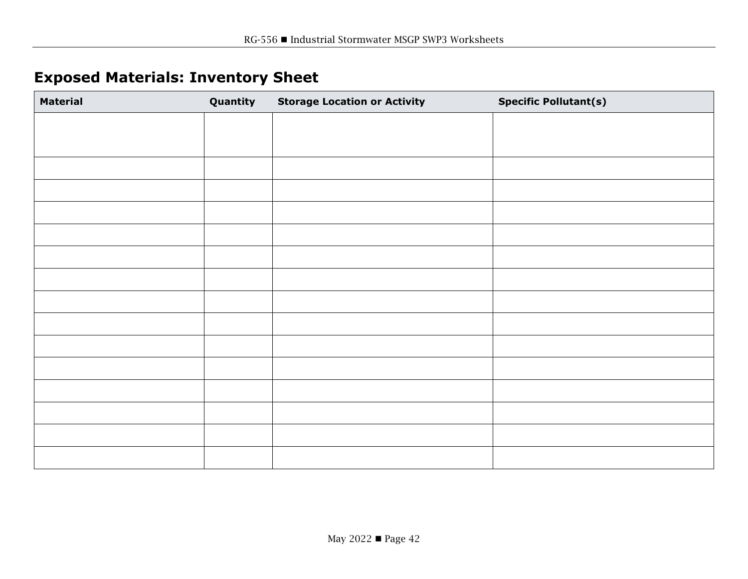# **Exposed Materials: Inventory Sheet**

| <b>Material</b> | Quantity | <b>Storage Location or Activity</b> | <b>Specific Pollutant(s)</b> |
|-----------------|----------|-------------------------------------|------------------------------|
|                 |          |                                     |                              |
|                 |          |                                     |                              |
|                 |          |                                     |                              |
|                 |          |                                     |                              |
|                 |          |                                     |                              |
|                 |          |                                     |                              |
|                 |          |                                     |                              |
|                 |          |                                     |                              |
|                 |          |                                     |                              |
|                 |          |                                     |                              |
|                 |          |                                     |                              |
|                 |          |                                     |                              |
|                 |          |                                     |                              |
|                 |          |                                     |                              |
|                 |          |                                     |                              |
|                 |          |                                     |                              |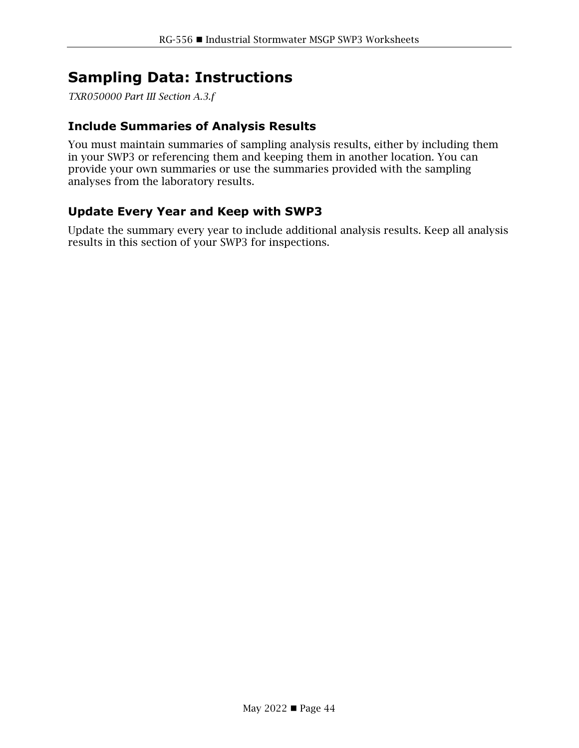## <span id="page-46-0"></span>**Sampling Data: Instructions**

*TXR050000 Part III Section A.3.f*

#### **Include Summaries of Analysis Results**

You must maintain summaries of sampling analysis results, either by including them in your SWP3 or referencing them and keeping them in another location. You can provide your own summaries or use the summaries provided with the sampling analyses from the laboratory results.

#### **Update Every Year and Keep with SWP3**

Update the summary every year to include additional analysis results. Keep all analysis results in this section of your SWP3 for inspections.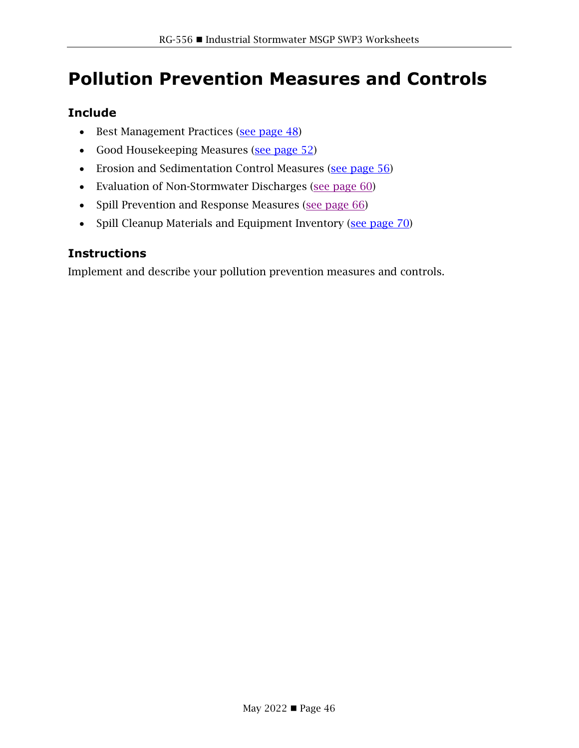# **Pollution Prevention Measures and Controls**

#### **Include**

- Best Management Practices [\(see page 48\)](#page-50-0)
- Good Housekeeping Measures [\(see page 52\)](#page-54-0)
- Erosion and Sedimentation Control Measures [\(see page 56\)](#page-58-0)
- Evaluation of Non-Stormwater Discharges [\(see page 60\)](#page-62-0)
- Spill Prevention and Response Measures [\(see page 66\)](#page-68-0)
- Spill Cleanup Materials and Equipment Inventory [\(see page 70\)](#page-72-0)

#### **Instructions**

Implement and describe your pollution prevention measures and controls.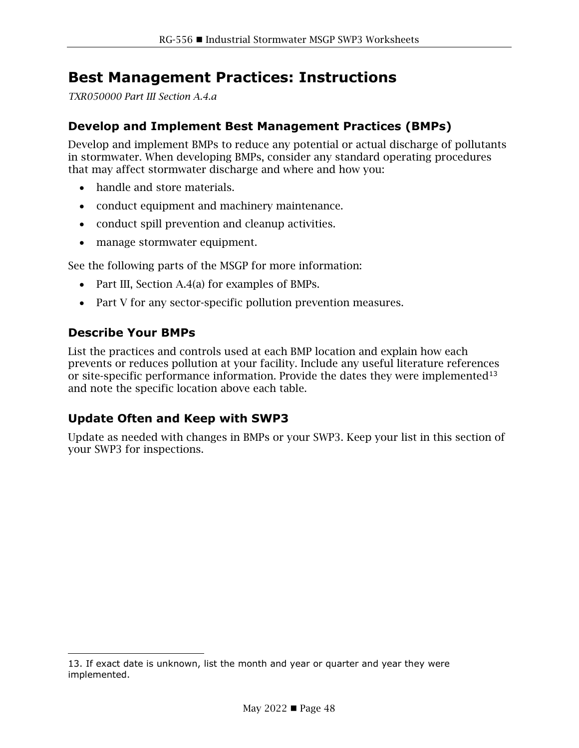### <span id="page-50-0"></span>**Best Management Practices: Instructions**

*TXR050000 Part III Section A.4.a*

#### **Develop and Implement Best Management Practices (BMPs)**

Develop and implement BMPs to reduce any potential or actual discharge of pollutants in stormwater. When developing BMPs, consider any standard operating procedures that may affect stormwater discharge and where and how you:

- handle and store materials.
- conduct equipment and machinery maintenance.
- conduct spill prevention and cleanup activities.
- manage stormwater equipment.

See the following parts of the MSGP for more information:

- Part III, Section A.4(a) for examples of BMPs.
- Part V for any sector-specific pollution prevention measures.

#### **Describe Your BMPs**

List the practices and controls used at each BMP location and explain how each prevents or reduces pollution at your facility. Include any useful literature references or site-specific performance information. Provide the dates they were implemented<sup>[13](#page-50-1)</sup> and note the specific location above each table.

#### **Update Often and Keep with SWP3**

Update as needed with changes in BMPs or your SWP3. Keep your list in this section of your SWP3 for inspections.

<span id="page-50-1"></span><sup>13.</sup> If exact date is unknown, list the month and year or quarter and year they were implemented.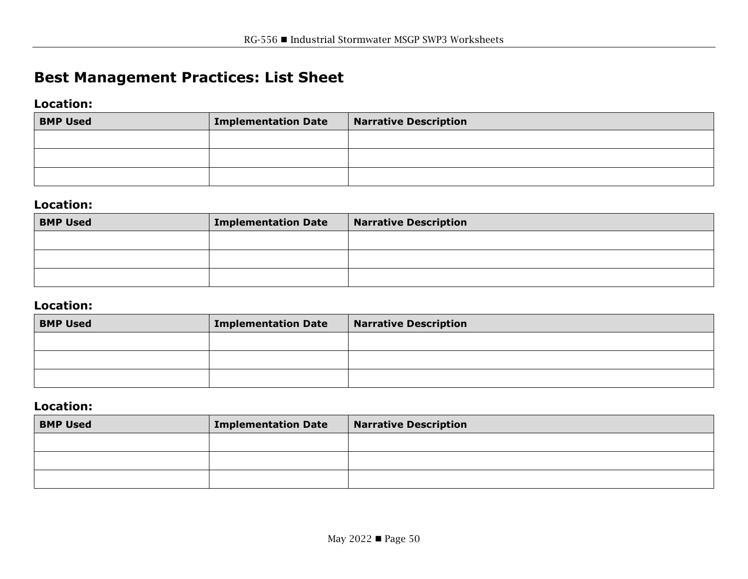# **Best Management Practices: List Sheet**

#### **Location:**

| <b>BMP Used</b> | <b>Implementation Date</b> | <b>Narrative Description</b> |
|-----------------|----------------------------|------------------------------|
|                 |                            |                              |
|                 |                            |                              |
|                 |                            |                              |

#### **Location:**

| <b>BMP Used</b> | <b>Implementation Date</b> | Narrative Description |
|-----------------|----------------------------|-----------------------|
|                 |                            |                       |
|                 |                            |                       |
|                 |                            |                       |

#### **Location:**

| <b>BMP Used</b> | <b>Implementation Date</b> | Narrative Description |
|-----------------|----------------------------|-----------------------|
|                 |                            |                       |
|                 |                            |                       |
|                 |                            |                       |

#### **Location:**

| <b>BMP Used</b> | <b>Implementation Date</b> | Narrative Description |
|-----------------|----------------------------|-----------------------|
|                 |                            |                       |
|                 |                            |                       |
|                 |                            |                       |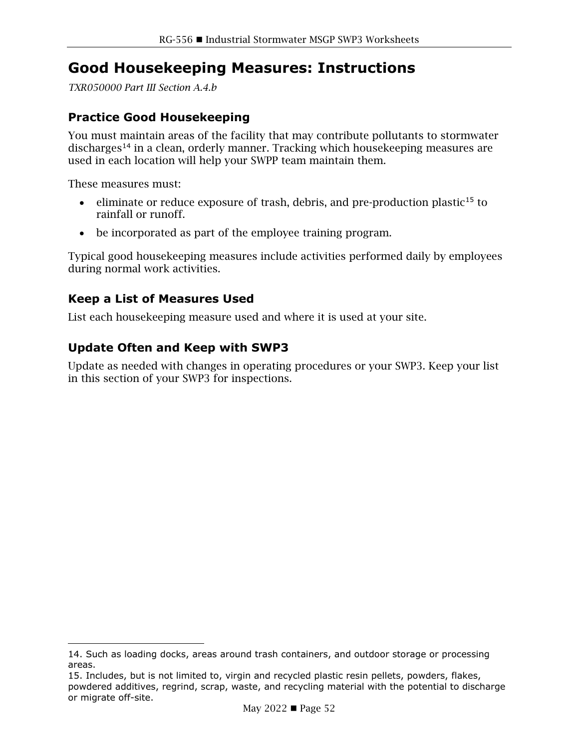### <span id="page-54-0"></span>**Good Housekeeping Measures: Instructions**

*TXR050000 Part III Section A.4.b*

#### **Practice Good Housekeeping**

You must maintain areas of the facility that may contribute pollutants to stormwater discharges<sup>[14](#page-54-1)</sup> in a clean, orderly manner. Tracking which housekeeping measures are used in each location will help your SWPP team maintain them.

These measures must:

- eliminate or reduce exposure of trash, debris, and pre-production plastic<sup>[15](#page-54-2)</sup> to rainfall or runoff.
- be incorporated as part of the employee training program.

Typical good housekeeping measures include activities performed daily by employees during normal work activities.

#### **Keep a List of Measures Used**

List each housekeeping measure used and where it is used at your site.

#### **Update Often and Keep with SWP3**

Update as needed with changes in operating procedures or your SWP3. Keep your list in this section of your SWP3 for inspections.

<span id="page-54-1"></span><sup>14.</sup> Such as loading docks, areas around trash containers, and outdoor storage or processing areas.

<span id="page-54-2"></span><sup>15.</sup> Includes, but is not limited to, virgin and recycled plastic resin pellets, powders, flakes, powdered additives, regrind, scrap, waste, and recycling material with the potential to discharge or migrate off-site.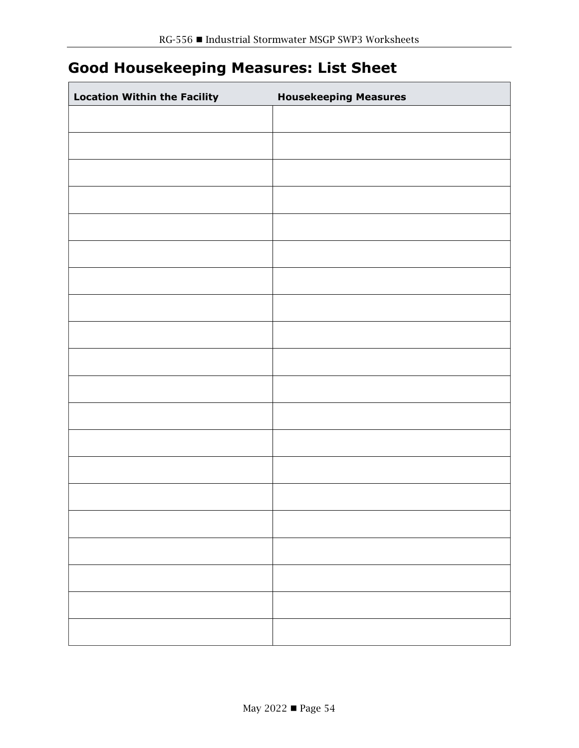# **Good Housekeeping Measures: List Sheet**

| <b>Location Within the Facility</b> | <b>Housekeeping Measures</b> |
|-------------------------------------|------------------------------|
|                                     |                              |
|                                     |                              |
|                                     |                              |
|                                     |                              |
|                                     |                              |
|                                     |                              |
|                                     |                              |
|                                     |                              |
|                                     |                              |
|                                     |                              |
|                                     |                              |
|                                     |                              |
|                                     |                              |
|                                     |                              |
|                                     |                              |
|                                     |                              |
|                                     |                              |
|                                     |                              |
|                                     |                              |
|                                     |                              |
|                                     |                              |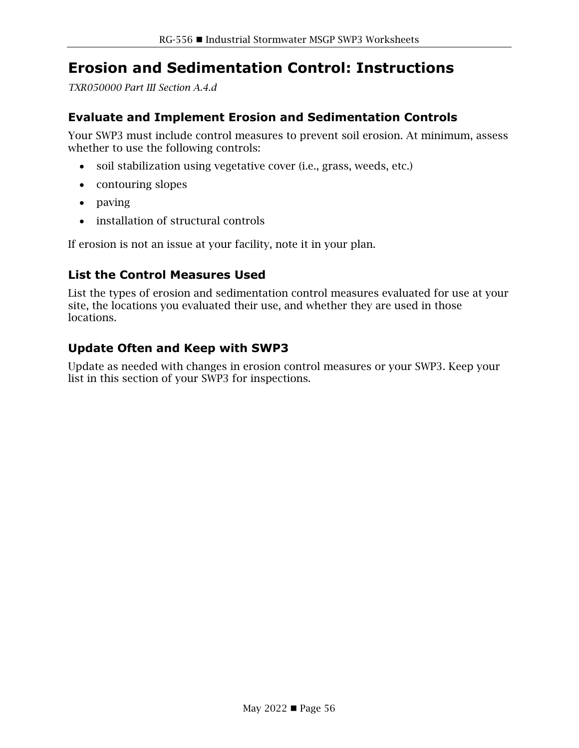# <span id="page-58-0"></span>**Erosion and Sedimentation Control: Instructions**

*TXR050000 Part III Section A.4.d*

#### **Evaluate and Implement Erosion and Sedimentation Controls**

Your SWP3 must include control measures to prevent soil erosion. At minimum, assess whether to use the following controls:

- soil stabilization using vegetative cover (i.e., grass, weeds, etc.)
- contouring slopes
- paving
- installation of structural controls

If erosion is not an issue at your facility, note it in your plan.

#### **List the Control Measures Used**

List the types of erosion and sedimentation control measures evaluated for use at your site, the locations you evaluated their use, and whether they are used in those locations.

#### **Update Often and Keep with SWP3**

Update as needed with changes in erosion control measures or your SWP3. Keep your list in this section of your SWP3 for inspections.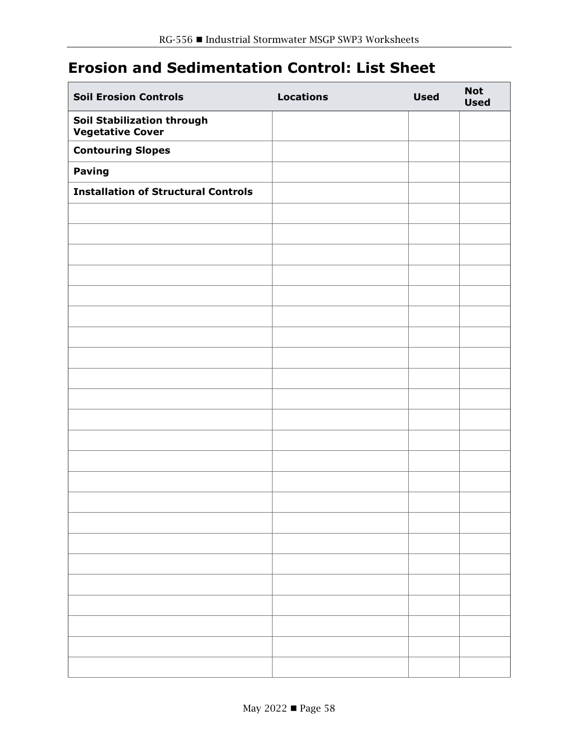# **Erosion and Sedimentation Control: List Sheet**

| <b>Soil Erosion Controls</b>                          | <b>Locations</b> | <b>Used</b> | <b>Not</b><br><b>Used</b> |
|-------------------------------------------------------|------------------|-------------|---------------------------|
| Soil Stabilization through<br><b>Vegetative Cover</b> |                  |             |                           |
| <b>Contouring Slopes</b>                              |                  |             |                           |
| <b>Paving</b>                                         |                  |             |                           |
| <b>Installation of Structural Controls</b>            |                  |             |                           |
|                                                       |                  |             |                           |
|                                                       |                  |             |                           |
|                                                       |                  |             |                           |
|                                                       |                  |             |                           |
|                                                       |                  |             |                           |
|                                                       |                  |             |                           |
|                                                       |                  |             |                           |
|                                                       |                  |             |                           |
|                                                       |                  |             |                           |
|                                                       |                  |             |                           |
|                                                       |                  |             |                           |
|                                                       |                  |             |                           |
|                                                       |                  |             |                           |
|                                                       |                  |             |                           |
|                                                       |                  |             |                           |
|                                                       |                  |             |                           |
|                                                       |                  |             |                           |
|                                                       |                  |             |                           |
|                                                       |                  |             |                           |
|                                                       |                  |             |                           |
|                                                       |                  |             |                           |
|                                                       |                  |             |                           |
|                                                       |                  |             |                           |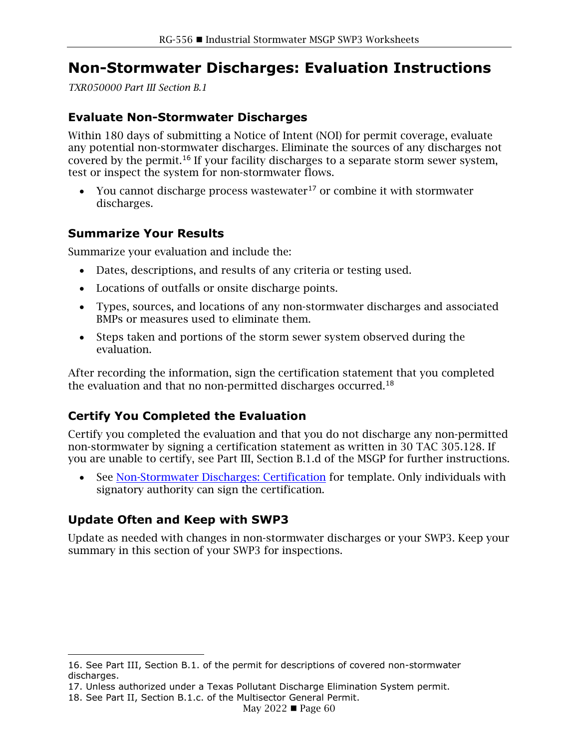# <span id="page-62-0"></span>**Non-Stormwater Discharges: Evaluation Instructions**

*TXR050000 Part III Section B.1*

#### **Evaluate Non-Stormwater Discharges**

Within 180 days of submitting a Notice of Intent (NOI) for permit coverage, evaluate any potential non-stormwater discharges. Eliminate the sources of any discharges not covered by the permit. [16](#page-62-1) If your facility discharges to a separate storm sewer system, test or inspect the system for non-stormwater flows.

• You cannot discharge process wastewater<sup>[17](#page-62-2)</sup> or combine it with stormwater discharges.

#### **Summarize Your Results**

Summarize your evaluation and include the:

- Dates, descriptions, and results of any criteria or testing used.
- Locations of outfalls or onsite discharge points.
- Types, sources, and locations of any non-stormwater discharges and associated BMPs or measures used to eliminate them.
- Steps taken and portions of the storm sewer system observed during the evaluation.

After recording the information, sign the certification statement that you completed the evaluation and that no non-permitted discharges occurred.<sup>[18](#page-62-3)</sup>

#### **Certify You Completed the Evaluation**

Certify you completed the evaluation and that you do not discharge any non-permitted non-stormwater by signing a certification statement as written in 30 TAC 305.128. If you are unable to certify, see Part III, Section B.1.d of the MSGP for further instructions.

• See [Non-Stormwater Discharges: Certification](#page-64-0) for template. Only individuals with signatory authority can sign the certification.

#### **Update Often and Keep with SWP3**

Update as needed with changes in non-stormwater discharges or your SWP3. Keep your summary in this section of your SWP3 for inspections.

<span id="page-62-1"></span><sup>16.</sup> See Part III, Section B.1. of the permit for descriptions of covered non-stormwater discharges.

<span id="page-62-3"></span><span id="page-62-2"></span><sup>17.</sup> Unless authorized under a Texas Pollutant Discharge Elimination System permit.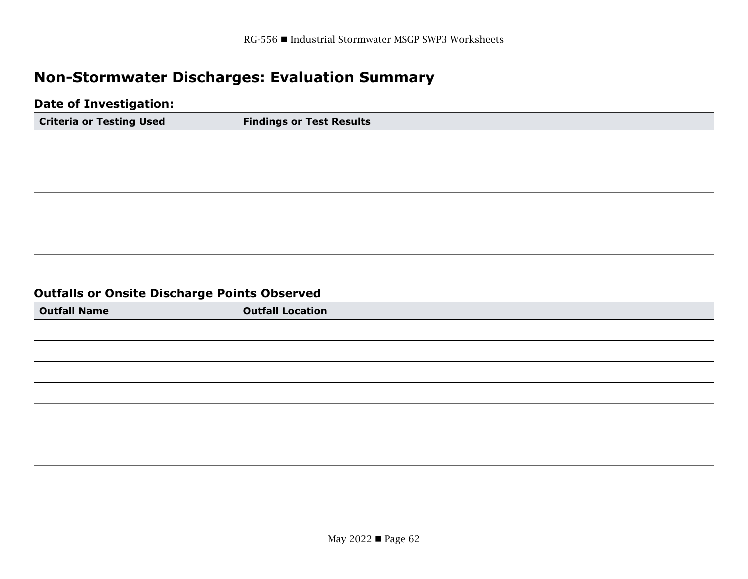# **Non-Stormwater Discharges: Evaluation Summary**

#### **Date of Investigation:**

| <b>Criteria or Testing Used</b> | <b>Findings or Test Results</b> |
|---------------------------------|---------------------------------|
|                                 |                                 |
|                                 |                                 |
|                                 |                                 |
|                                 |                                 |
|                                 |                                 |
|                                 |                                 |
|                                 |                                 |

#### <span id="page-64-0"></span>**Outfalls or Onsite Discharge Points Observed**

| <b>Outfall Name</b> | <b>Outfall Location</b> |
|---------------------|-------------------------|
|                     |                         |
|                     |                         |
|                     |                         |
|                     |                         |
|                     |                         |
|                     |                         |
|                     |                         |
|                     |                         |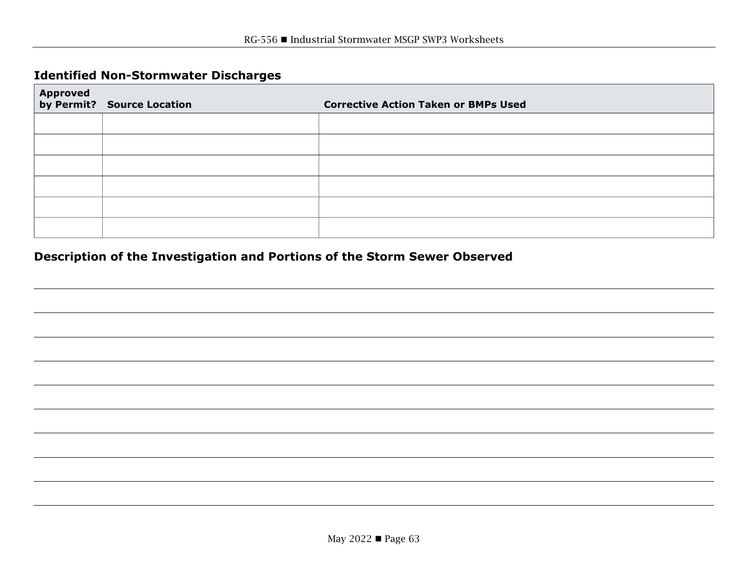#### **Identified Non-Stormwater Discharges**

| Approved<br>by Permit? Source Location | <b>Corrective Action Taken or BMPs Used</b> |
|----------------------------------------|---------------------------------------------|
|                                        |                                             |
|                                        |                                             |
|                                        |                                             |
|                                        |                                             |
|                                        |                                             |
|                                        |                                             |

#### **Description of the Investigation and Portions of the Storm Sewer Observed**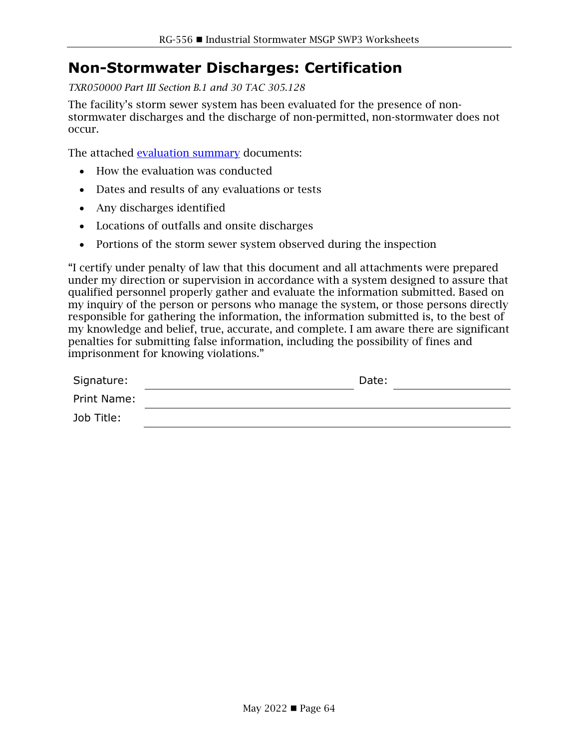### **Non-Stormwater Discharges: Certification**

*TXR050000 Part III Section B.1 and 30 TAC 305.128*

The facility's storm sewer system has been evaluated for the presence of nonstormwater discharges and the discharge of non-permitted, non-stormwater does not occur.

The attached [evaluation summary](#page-64-0) documents:

- How the evaluation was conducted
- Dates and results of any evaluations or tests
- Any discharges identified
- Locations of outfalls and onsite discharges
- Portions of the storm sewer system observed during the inspection

"I certify under penalty of law that this document and all attachments were prepared under my direction or supervision in accordance with a system designed to assure that qualified personnel properly gather and evaluate the information submitted. Based on my inquiry of the person or persons who manage the system, or those persons directly responsible for gathering the information, the information submitted is, to the best of my knowledge and belief, true, accurate, and complete. I am aware there are significant penalties for submitting false information, including the possibility of fines and imprisonment for knowing violations."

| Signature:  | Date: |
|-------------|-------|
| Print Name: |       |
| Job Title:  |       |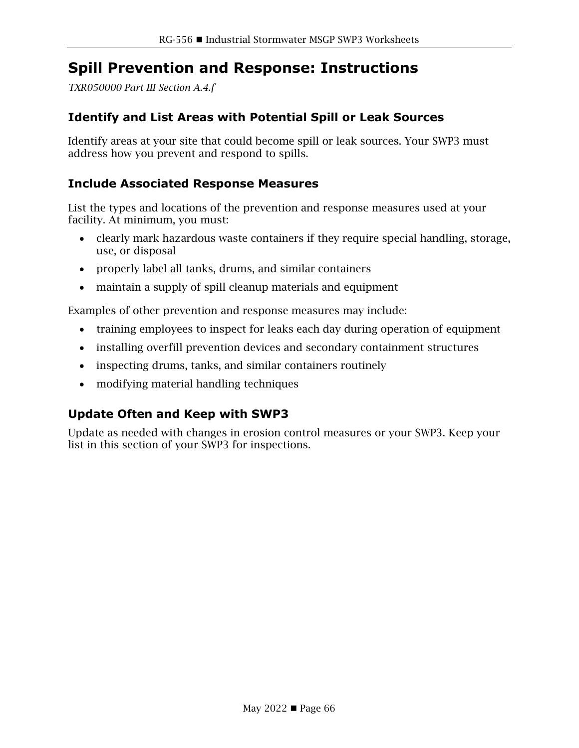### <span id="page-68-0"></span>**Spill Prevention and Response: Instructions**

*TXR050000 Part III Section A.4.f*

#### **Identify and List Areas with Potential Spill or Leak Sources**

Identify areas at your site that could become spill or leak sources. Your SWP3 must address how you prevent and respond to spills.

#### **Include Associated Response Measures**

List the types and locations of the prevention and response measures used at your facility. At minimum, you must:

- clearly mark hazardous waste containers if they require special handling, storage, use, or disposal
- properly label all tanks, drums, and similar containers
- maintain a supply of spill cleanup materials and equipment

Examples of other prevention and response measures may include:

- training employees to inspect for leaks each day during operation of equipment
- installing overfill prevention devices and secondary containment structures
- inspecting drums, tanks, and similar containers routinely
- modifying material handling techniques

#### **Update Often and Keep with SWP3**

Update as needed with changes in erosion control measures or your SWP3. Keep your list in this section of your SWP3 for inspections.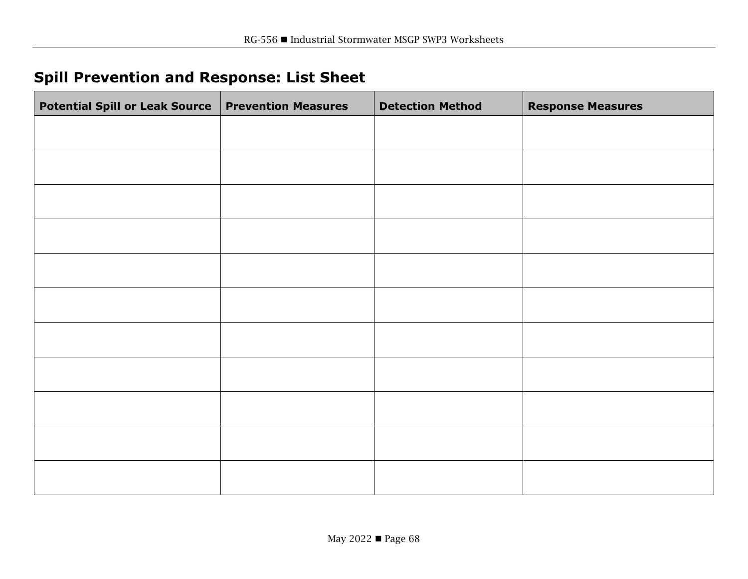# **Spill Prevention and Response: List Sheet**

| <b>Potential Spill or Leak Source</b> | <b>Prevention Measures</b> | <b>Detection Method</b> | <b>Response Measures</b> |
|---------------------------------------|----------------------------|-------------------------|--------------------------|
|                                       |                            |                         |                          |
|                                       |                            |                         |                          |
|                                       |                            |                         |                          |
|                                       |                            |                         |                          |
|                                       |                            |                         |                          |
|                                       |                            |                         |                          |
|                                       |                            |                         |                          |
|                                       |                            |                         |                          |
|                                       |                            |                         |                          |
|                                       |                            |                         |                          |
|                                       |                            |                         |                          |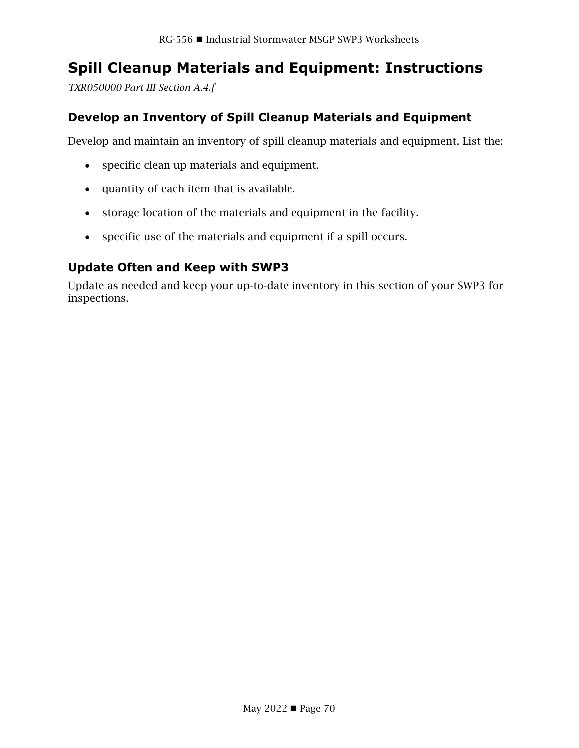# **Spill Cleanup Materials and Equipment: Instructions**

*TXR050000 Part III Section A.4.f*

## **Develop an Inventory of Spill Cleanup Materials and Equipment**

Develop and maintain an inventory of spill cleanup materials and equipment. List the:

- specific clean up materials and equipment.
- quantity of each item that is available.
- storage location of the materials and equipment in the facility.
- specific use of the materials and equipment if a spill occurs.

### **Update Often and Keep with SWP3**

Update as needed and keep your up-to-date inventory in this section of your SWP3 for inspections.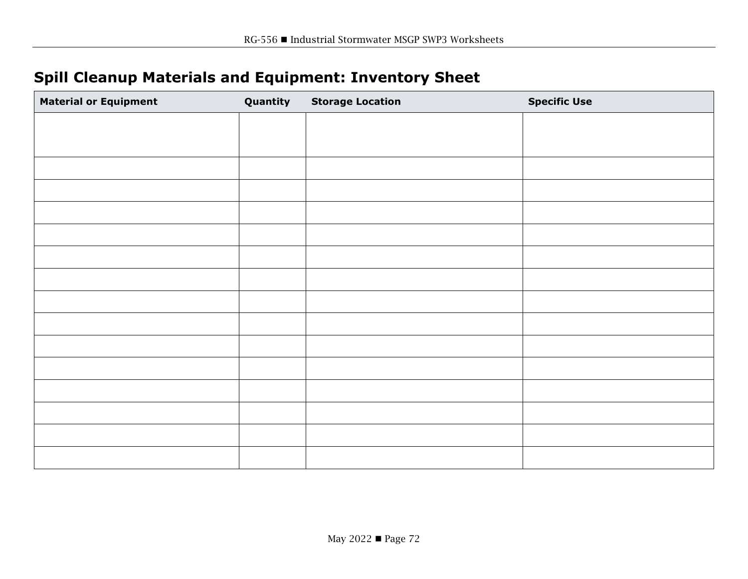# **Spill Cleanup Materials and Equipment: Inventory Sheet**

| <b>Material or Equipment</b> | Quantity | <b>Storage Location</b> | <b>Specific Use</b> |
|------------------------------|----------|-------------------------|---------------------|
|                              |          |                         |                     |
|                              |          |                         |                     |
|                              |          |                         |                     |
|                              |          |                         |                     |
|                              |          |                         |                     |
|                              |          |                         |                     |
|                              |          |                         |                     |
|                              |          |                         |                     |
|                              |          |                         |                     |
|                              |          |                         |                     |
|                              |          |                         |                     |
|                              |          |                         |                     |
|                              |          |                         |                     |
|                              |          |                         |                     |
|                              |          |                         |                     |
|                              |          |                         |                     |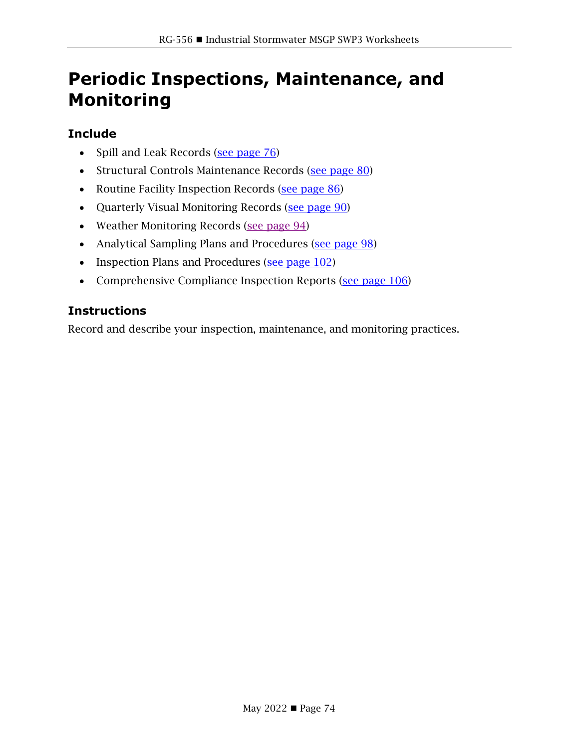# **Periodic Inspections, Maintenance, and Monitoring**

## **Include**

- Spill and Leak Records [\(see page 76\)](#page-78-0)
- Structural Controls Maintenance Records [\(see page 80\)](#page-82-0)
- Routine Facility Inspection Records [\(see page 86\)](#page-88-0)
- Quarterly Visual Monitoring Records [\(see page 90\)](#page-92-0)
- Weather Monitoring Records [\(see page 94\)](#page-96-0)
- Analytical Sampling Plans and Procedures [\(see page 98\)](#page-100-0)
- Inspection Plans and Procedures [\(see page 102\)](#page-104-0)
- Comprehensive Compliance Inspection Reports [\(see page 106\)](#page-108-0)

## **Instructions**

Record and describe your inspection, maintenance, and monitoring practices.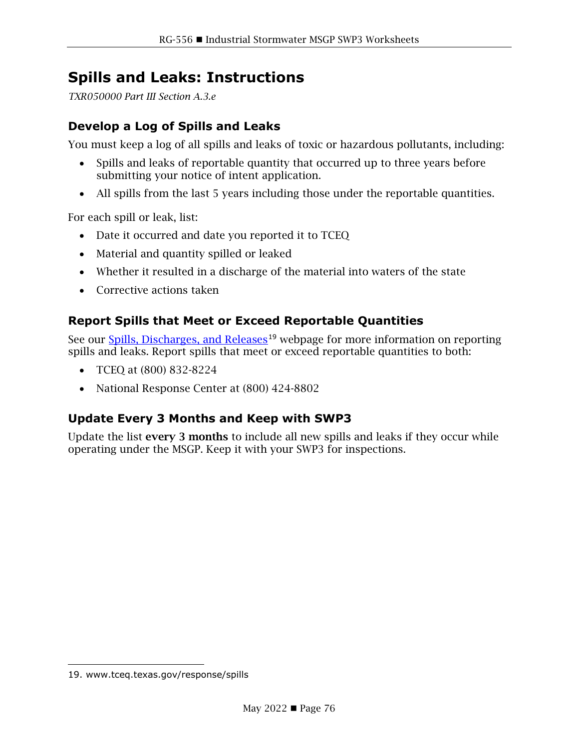# <span id="page-78-0"></span>**Spills and Leaks: Instructions**

*TXR050000 Part III Section A.3.e*

### **Develop a Log of Spills and Leaks**

You must keep a log of all spills and leaks of toxic or hazardous pollutants, including:

- Spills and leaks of reportable quantity that occurred up to three years before submitting your notice of intent application.
- All spills from the last 5 years including those under the reportable quantities.

For each spill or leak, list:

- Date it occurred and date you reported it to TCEQ
- Material and quantity spilled or leaked
- Whether it resulted in a discharge of the material into waters of the state
- Corrective actions taken

## **Report Spills that Meet or Exceed Reportable Quantities**

See our [Spills, Discharges, and Releases](https://www.tceq.texas.gov/response/spills)<sup>[19](#page-78-1)</sup> webpage for more information on reporting spills and leaks. Report spills that meet or exceed reportable quantities to both:

- TCEQ at (800) 832-8224
- National Response Center at (800) 424-8802

## **Update Every 3 Months and Keep with SWP3**

Update the list every 3 months to include all new spills and leaks if they occur while operating under the MSGP. Keep it with your SWP3 for inspections.

<span id="page-78-1"></span><sup>19.</sup> www.tceq.texas.gov/response/spills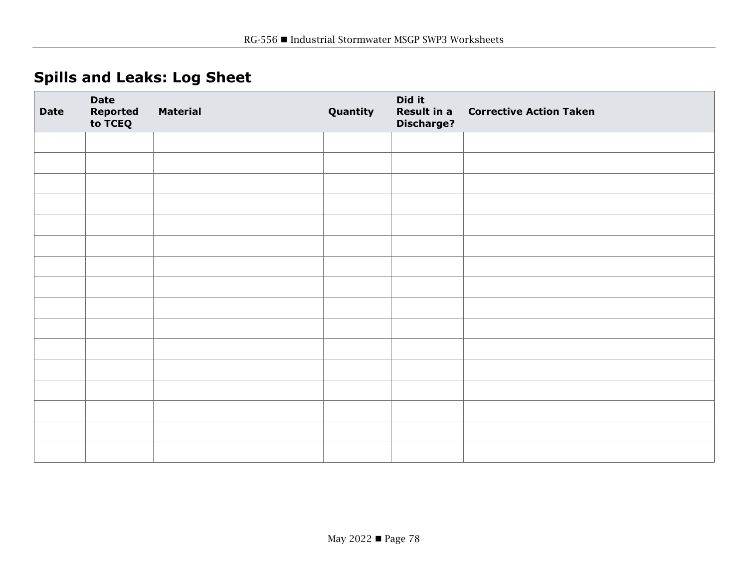# **Spills and Leaks: Log Sheet**

| <b>Date</b> | <b>Date</b><br>Reported<br>to TCEQ | <b>Material</b> | Quantity | Did it<br>Result in a<br><b>Discharge?</b> | <b>Corrective Action Taken</b> |
|-------------|------------------------------------|-----------------|----------|--------------------------------------------|--------------------------------|
|             |                                    |                 |          |                                            |                                |
|             |                                    |                 |          |                                            |                                |
|             |                                    |                 |          |                                            |                                |
|             |                                    |                 |          |                                            |                                |
|             |                                    |                 |          |                                            |                                |
|             |                                    |                 |          |                                            |                                |
|             |                                    |                 |          |                                            |                                |
|             |                                    |                 |          |                                            |                                |
|             |                                    |                 |          |                                            |                                |
|             |                                    |                 |          |                                            |                                |
|             |                                    |                 |          |                                            |                                |
|             |                                    |                 |          |                                            |                                |
|             |                                    |                 |          |                                            |                                |
|             |                                    |                 |          |                                            |                                |
|             |                                    |                 |          |                                            |                                |
|             |                                    |                 |          |                                            |                                |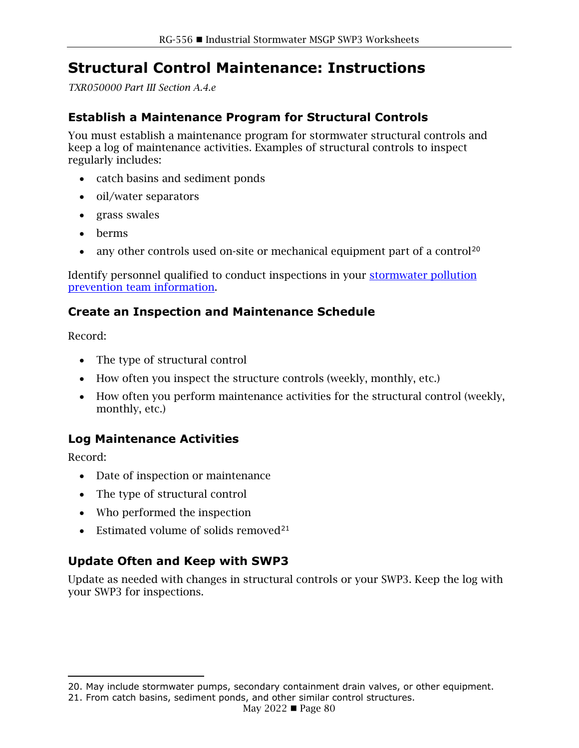# <span id="page-82-0"></span>**Structural Control Maintenance: Instructions**

*TXR050000 Part III Section A.4.e*

## **Establish a Maintenance Program for Structural Controls**

You must establish a maintenance program for stormwater structural controls and keep a log of maintenance activities. Examples of structural controls to inspect regularly includes:

- catch basins and sediment ponds
- oil/water separators
- grass swales
- berms
- any other controls used on-site or mechanical equipment part of a control<sup>[20](#page-82-1)</sup>

Identify personnel qualified to conduct inspections in your stormwater pollution [prevention team](#page-26-0) information.

### **Create an Inspection and Maintenance Schedule**

Record:

- The type of structural control
- How often you inspect the structure controls (weekly, monthly, etc.)
- How often you perform maintenance activities for the structural control (weekly, monthly, etc.)

## **Log Maintenance Activities**

Record:

- Date of inspection or maintenance
- The type of structural control
- Who performed the inspection
- Estimated volume of solids removed<sup>[21](#page-82-2)</sup>

## **Update Often and Keep with SWP3**

Update as needed with changes in structural controls or your SWP3. Keep the log with your SWP3 for inspections.

<span id="page-82-2"></span><span id="page-82-1"></span><sup>20.</sup> May include stormwater pumps, secondary containment drain valves, or other equipment.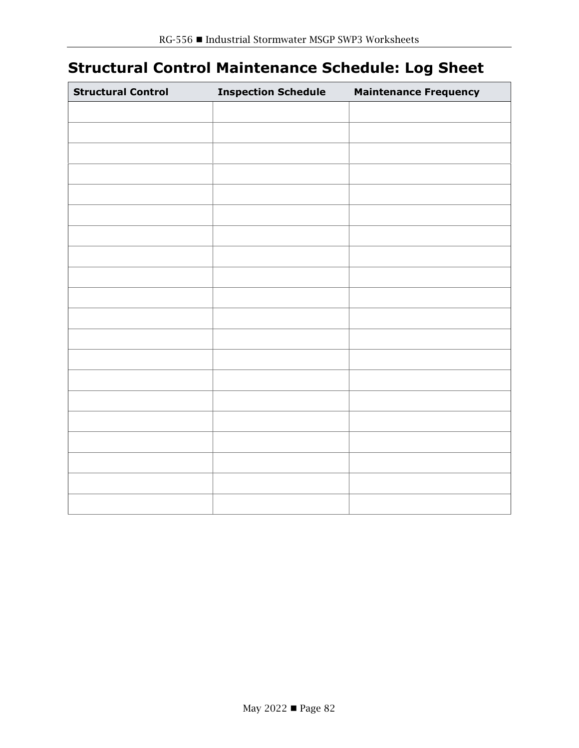# **Structural Control Maintenance Schedule: Log Sheet**

| <b>Structural Control</b> | <b>Inspection Schedule</b> | <b>Maintenance Frequency</b> |
|---------------------------|----------------------------|------------------------------|
|                           |                            |                              |
|                           |                            |                              |
|                           |                            |                              |
|                           |                            |                              |
|                           |                            |                              |
|                           |                            |                              |
|                           |                            |                              |
|                           |                            |                              |
|                           |                            |                              |
|                           |                            |                              |
|                           |                            |                              |
|                           |                            |                              |
|                           |                            |                              |
|                           |                            |                              |
|                           |                            |                              |
|                           |                            |                              |
|                           |                            |                              |
|                           |                            |                              |
|                           |                            |                              |
|                           |                            |                              |
|                           |                            |                              |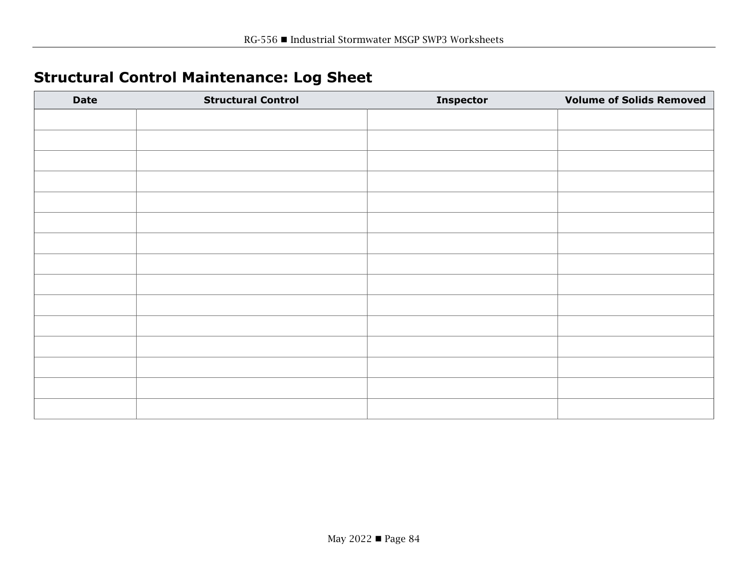# **Structural Control Maintenance: Log Sheet**

| <b>Date</b> | <b>Structural Control</b> | <b>Inspector</b> | <b>Volume of Solids Removed</b> |
|-------------|---------------------------|------------------|---------------------------------|
|             |                           |                  |                                 |
|             |                           |                  |                                 |
|             |                           |                  |                                 |
|             |                           |                  |                                 |
|             |                           |                  |                                 |
|             |                           |                  |                                 |
|             |                           |                  |                                 |
|             |                           |                  |                                 |
|             |                           |                  |                                 |
|             |                           |                  |                                 |
|             |                           |                  |                                 |
|             |                           |                  |                                 |
|             |                           |                  |                                 |
|             |                           |                  |                                 |
|             |                           |                  |                                 |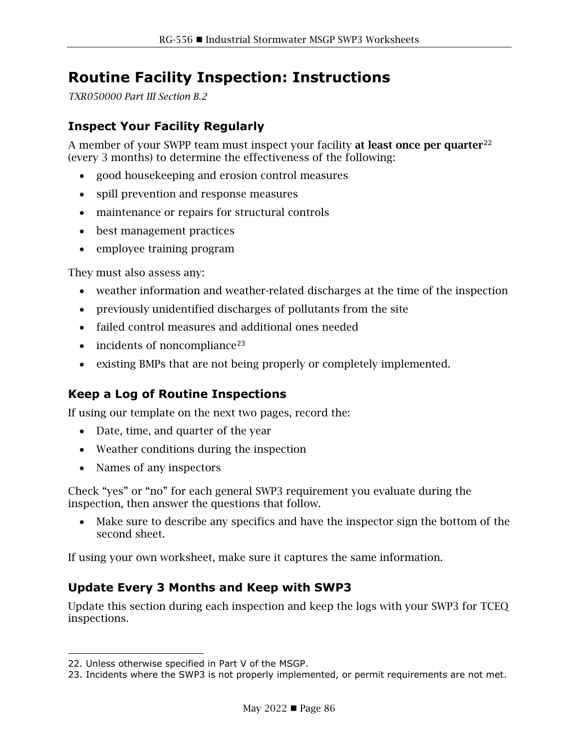# <span id="page-88-0"></span>**Routine Facility Inspection: Instructions**

*TXR050000 Part III Section B.2*

## **Inspect Your Facility Regularly**

A member of your SWPP team must inspect your facility at least once per quarter<sup>[22](#page-88-1)</sup> (every 3 months) to determine the effectiveness of the following:

- good housekeeping and erosion control measures
- spill prevention and response measures
- maintenance or repairs for structural controls
- best management practices
- employee training program

They must also assess any:

- weather information and weather-related discharges at the time of the inspection
- previously unidentified discharges of pollutants from the site
- failed control measures and additional ones needed
- $\bullet$  incidents of noncompliance<sup>[23](#page-88-2)</sup>
- existing BMPs that are not being properly or completely implemented.

## **Keep a Log of Routine Inspections**

If using our template on the next two pages, record the:

- Date, time, and quarter of the year
- Weather conditions during the inspection
- Names of any inspectors

Check "yes" or "no" for each general SWP3 requirement you evaluate during the inspection, then answer the questions that follow.

• Make sure to describe any specifics and have the inspector sign the bottom of the second sheet.

If using your own worksheet, make sure it captures the same information.

## **Update Every 3 Months and Keep with SWP3**

Update this section during each inspection and keep the logs with your SWP3 for TCEQ inspections.

<span id="page-88-1"></span><sup>22.</sup> Unless otherwise specified in Part V of the MSGP.

<span id="page-88-2"></span><sup>23.</sup> Incidents where the SWP3 is not properly implemented, or permit requirements are not met.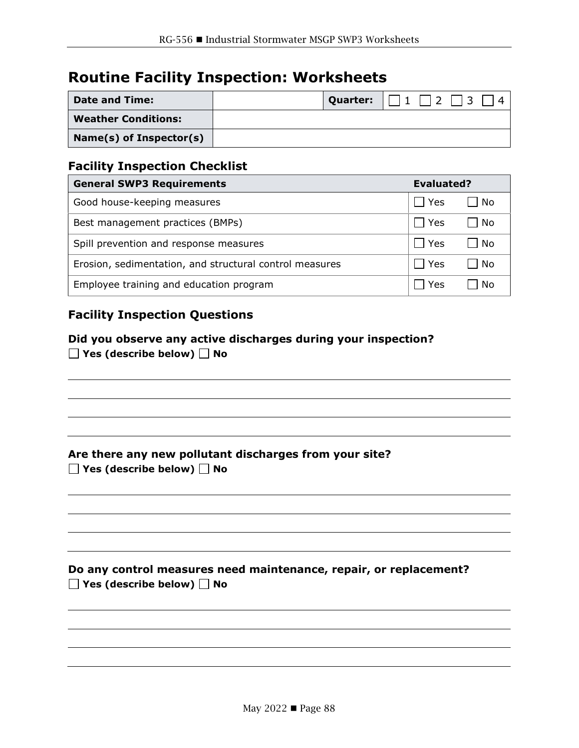# **Routine Facility Inspection: Worksheets**

| <b>Date and Time:</b>      | Quarter: | $\Box$ 1 $\Box$ 2 $\Box$ 3 |  |
|----------------------------|----------|----------------------------|--|
| <b>Weather Conditions:</b> |          |                            |  |
| Name(s) of Inspector(s)    |          |                            |  |

### **Facility Inspection Checklist**

| <b>General SWP3 Requirements</b>                        |       | Evaluated? |  |
|---------------------------------------------------------|-------|------------|--|
| Good house-keeping measures                             | ∣ Yes | l No       |  |
| Best management practices (BMPs)                        | Yes   | No         |  |
| Spill prevention and response measures                  | Yes   | $\perp$ No |  |
| Erosion, sedimentation, and structural control measures | l Yes | l No       |  |
| Employee training and education program                 | Yes   | No         |  |

## **Facility Inspection Questions**

**Did you observe any active discharges during your inspection? Yes (describe below) No**

| Are there any new pollutant discharges from your site? |  |
|--------------------------------------------------------|--|
| $\Box$ Yes (describe below) $\Box$ No                  |  |

| Do any control measures need maintenance, repair, or replacement? |  |
|-------------------------------------------------------------------|--|
| $\Box$ Yes (describe below) $\Box$ No                             |  |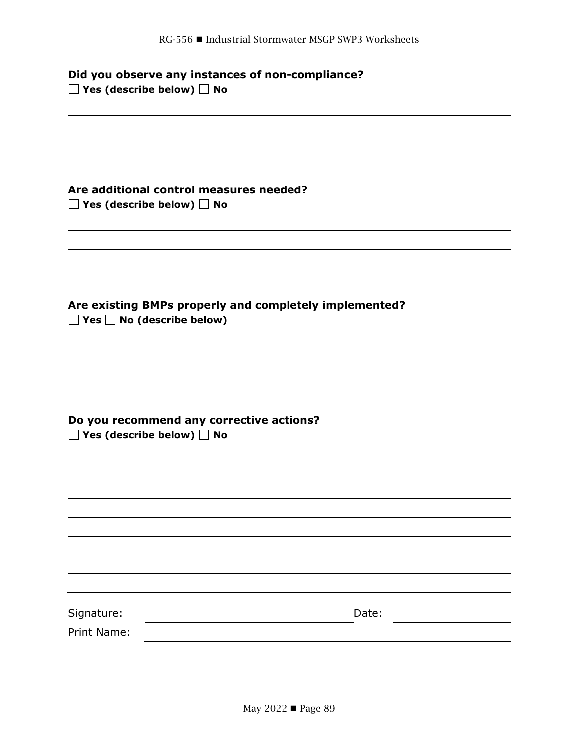### **Did you observe any instances of non-compliance? No** Yes (describe below)  $\Box$  No

**Are additional control measures needed? No** Yes (describe below)  $\Box$  No **Are existing BMPs properly and completely implemented? Yes No (describe below) Do you recommend any corrective actions? No** Yes (describe below)  $\Box$  No Signature: Date: Date: Date: Date: Date: Date: Date: Date: Date: Date: Date: Date: Date: Date: Date: Date: Date:  $\sim$  Date:  $\sim$  0.075  $\mu$ Print Name: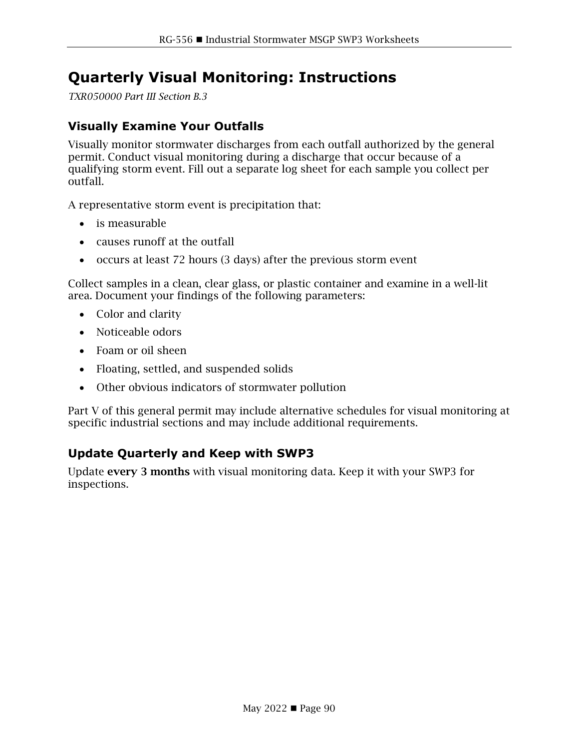# <span id="page-92-0"></span>**Quarterly Visual Monitoring: Instructions**

*TXR050000 Part III Section B.3*

### **Visually Examine Your Outfalls**

Visually monitor stormwater discharges from each outfall authorized by the general permit. Conduct visual monitoring during a discharge that occur because of a qualifying storm event. Fill out a separate log sheet for each sample you collect per outfall.

A representative storm event is precipitation that:

- is measurable
- causes runoff at the outfall
- occurs at least 72 hours (3 days) after the previous storm event

Collect samples in a clean, clear glass, or plastic container and examine in a well-lit area. Document your findings of the following parameters:

- Color and clarity
- Noticeable odors
- Foam or oil sheen
- Floating, settled, and suspended solids
- Other obvious indicators of stormwater pollution

Part V of this general permit may include alternative schedules for visual monitoring at specific industrial sections and may include additional requirements.

### **Update Quarterly and Keep with SWP3**

Update every 3 months with visual monitoring data. Keep it with your SWP3 for inspections.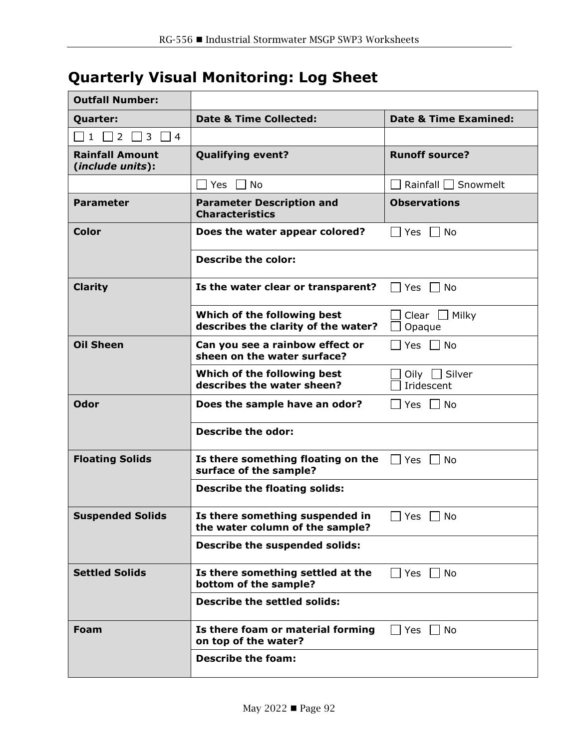# **Quarterly Visual Monitoring: Log Sheet**

| <b>Outfall Number:</b>                     |                                                                                                     |                                  |
|--------------------------------------------|-----------------------------------------------------------------------------------------------------|----------------------------------|
| <b>Quarter:</b>                            | <b>Date &amp; Time Collected:</b>                                                                   | <b>Date &amp; Time Examined:</b> |
| 2<br>3<br>$\mathbf{1}$<br>4                |                                                                                                     |                                  |
| <b>Rainfall Amount</b><br>(include units): | <b>Qualifying event?</b>                                                                            | <b>Runoff source?</b>            |
|                                            | ∃Yes ∏ No                                                                                           | Rainfall $\Box$ Snowmelt         |
| <b>Parameter</b>                           | <b>Parameter Description and</b><br><b>Characteristics</b>                                          | <b>Observations</b>              |
| <b>Color</b>                               | Does the water appear colored?                                                                      | │Yes │ No                        |
|                                            | <b>Describe the color:</b>                                                                          |                                  |
| <b>Clarity</b>                             | Is the water clear or transparent?                                                                  | Yes<br>No.                       |
|                                            | Which of the following best<br>describes the clarity of the water?                                  | Clear $\Box$ Milky<br>Opaque     |
| <b>Oil Sheen</b>                           | Can you see a rainbow effect or<br>sheen on the water surface?                                      | $\vert$ Yes $\Box$ No            |
|                                            | Which of the following best<br>describes the water sheen?                                           | Oily $\Box$ Silver<br>Iridescent |
| Odor                                       | Does the sample have an odor?                                                                       | Yes ∣ No                         |
|                                            | <b>Describe the odor:</b>                                                                           |                                  |
| <b>Floating Solids</b>                     | <b>Is there something floating on the <math>\Box</math></b> Yes $\Box$ No<br>surface of the sample? |                                  |
|                                            | <b>Describe the floating solids:</b>                                                                |                                  |
| <b>Suspended Solids</b>                    | Is there something suspended in<br>the water column of the sample?                                  | $\Box$ Yes $\Box$ No             |
|                                            | <b>Describe the suspended solids:</b>                                                               |                                  |
| <b>Settled Solids</b>                      | Is there something settled at the<br>bottom of the sample?                                          | $\Box$ Yes $\Box$ No             |
|                                            | <b>Describe the settled solids:</b>                                                                 |                                  |
| Foam                                       | Is there foam or material forming<br>on top of the water?                                           | $Yes$ $\Box$<br>No               |
|                                            | <b>Describe the foam:</b>                                                                           |                                  |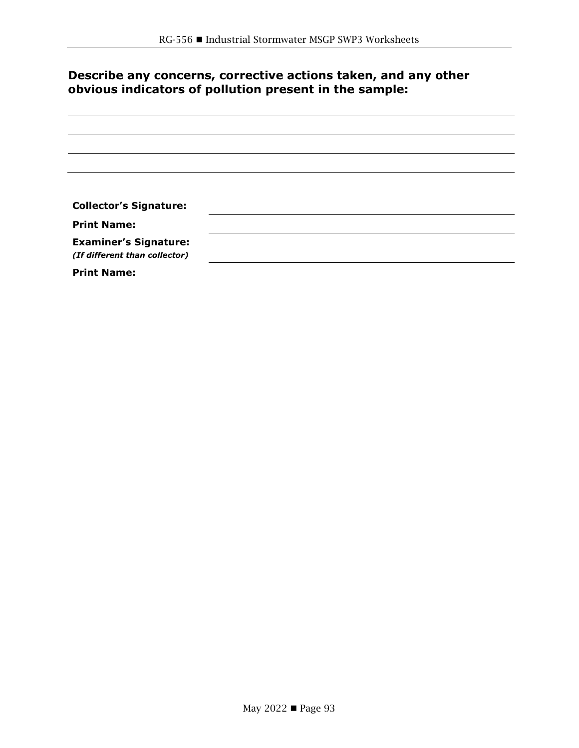### **Describe any concerns, corrective actions taken, and any other obvious indicators of pollution present in the sample:**

| <b>Collector's Signature:</b> |  |
|-------------------------------|--|
| <b>Print Name:</b>            |  |
| <b>Examiner's Signature:</b>  |  |
| (If different than collector) |  |
| <b>Print Name:</b>            |  |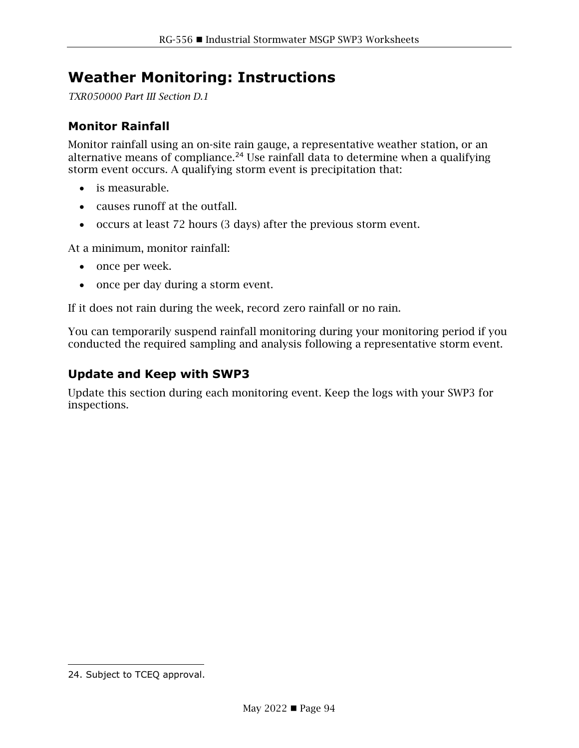# <span id="page-96-0"></span>**Weather Monitoring: Instructions**

*TXR050000 Part III Section D.1*

### **Monitor Rainfall**

Monitor rainfall using an on-site rain gauge, a representative weather station, or an alternative means of compliance.<sup>[24](#page-96-1)</sup> Use rainfall data to determine when a qualifying storm event occurs. A qualifying storm event is precipitation that:

- is measurable.
- causes runoff at the outfall.
- occurs at least 72 hours (3 days) after the previous storm event.

At a minimum, monitor rainfall:

- once per week.
- once per day during a storm event.

If it does not rain during the week, record zero rainfall or no rain.

You can temporarily suspend rainfall monitoring during your monitoring period if you conducted the required sampling and analysis following a representative storm event.

### **Update and Keep with SWP3**

Update this section during each monitoring event. Keep the logs with your SWP3 for inspections.

<span id="page-96-1"></span><sup>24.</sup> Subject to TCEQ approval.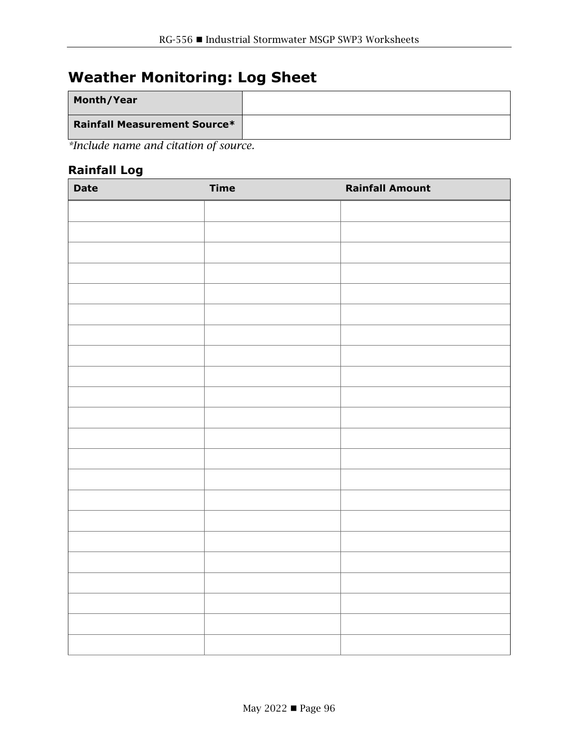# **Weather Monitoring: Log Sheet**

| Month/Year                          |  |
|-------------------------------------|--|
| <b>Rainfall Measurement Source*</b> |  |

*\*Include name and citation of source.*

## **Rainfall Log**

| <b>Date</b> | <b>Time</b> | <b>Rainfall Amount</b> |
|-------------|-------------|------------------------|
|             |             |                        |
|             |             |                        |
|             |             |                        |
|             |             |                        |
|             |             |                        |
|             |             |                        |
|             |             |                        |
|             |             |                        |
|             |             |                        |
|             |             |                        |
|             |             |                        |
|             |             |                        |
|             |             |                        |
|             |             |                        |
|             |             |                        |
|             |             |                        |
|             |             |                        |
|             |             |                        |
|             |             |                        |
|             |             |                        |
|             |             |                        |
|             |             |                        |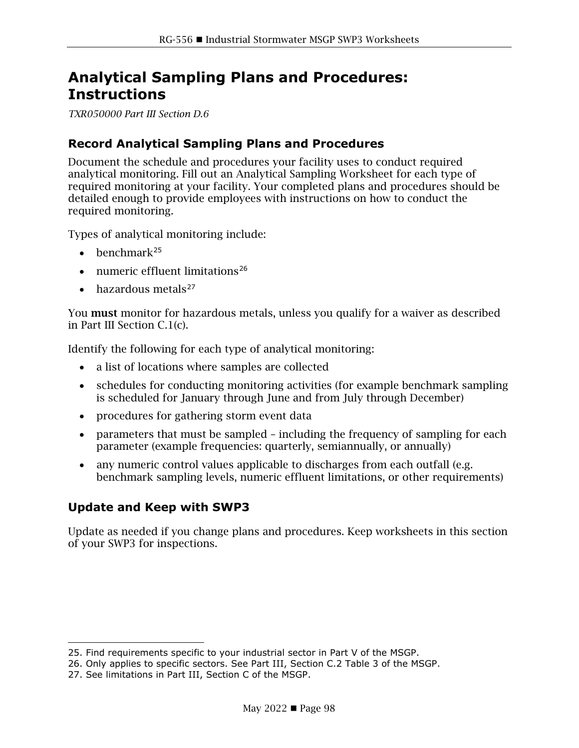# <span id="page-100-0"></span>**Analytical Sampling Plans and Procedures: Instructions**

*TXR050000 Part III Section D.6*

### **Record Analytical Sampling Plans and Procedures**

Document the schedule and procedures your facility uses to conduct required analytical monitoring. Fill out an Analytical Sampling Worksheet for each type of required monitoring at your facility. Your completed plans and procedures should be detailed enough to provide employees with instructions on how to conduct the required monitoring.

Types of analytical monitoring include:

- $\bullet$  benchmark<sup>[25](#page-100-1)</sup>
- numeric effluent limitations<sup>[26](#page-100-2)</sup>
- $\bullet$  hazardous metals<sup>[27](#page-100-3)</sup>

You must monitor for hazardous metals, unless you qualify for a waiver as described in Part III Section C.1(c).

Identify the following for each type of analytical monitoring:

- a list of locations where samples are collected
- schedules for conducting monitoring activities (for example benchmark sampling is scheduled for January through June and from July through December)
- procedures for gathering storm event data
- parameters that must be sampled including the frequency of sampling for each parameter (example frequencies: quarterly, semiannually, or annually)
- any numeric control values applicable to discharges from each outfall (e.g. benchmark sampling levels, numeric effluent limitations, or other requirements)

## **Update and Keep with SWP3**

Update as needed if you change plans and procedures. Keep worksheets in this section of your SWP3 for inspections.

<span id="page-100-1"></span><sup>25.</sup> Find requirements specific to your industrial sector in Part V of the MSGP.

<span id="page-100-2"></span><sup>26.</sup> Only applies to specific sectors. See Part III, Section C.2 Table 3 of the MSGP.

<span id="page-100-3"></span><sup>27.</sup> See limitations in Part III, Section C of the MSGP.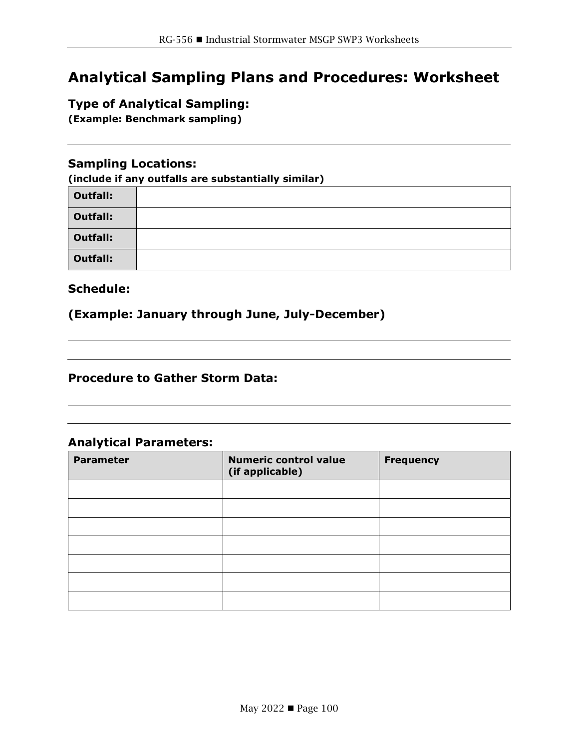# **Analytical Sampling Plans and Procedures: Worksheet**

### **Type of Analytical Sampling:**

**(Example: Benchmark sampling)**

### **Sampling Locations:**

**(include if any outfalls are substantially similar)**

| Outfall:        |  |
|-----------------|--|
| <b>Outfall:</b> |  |
| <b>Outfall:</b> |  |
| <b>Outfall:</b> |  |

#### **Schedule:**

### **(Example: January through June, July-December)**

#### **Procedure to Gather Storm Data:**

### **Analytical Parameters:**

| <b>Parameter</b> | <b>Numeric control value</b><br>(if applicable) | <b>Frequency</b> |
|------------------|-------------------------------------------------|------------------|
|                  |                                                 |                  |
|                  |                                                 |                  |
|                  |                                                 |                  |
|                  |                                                 |                  |
|                  |                                                 |                  |
|                  |                                                 |                  |
|                  |                                                 |                  |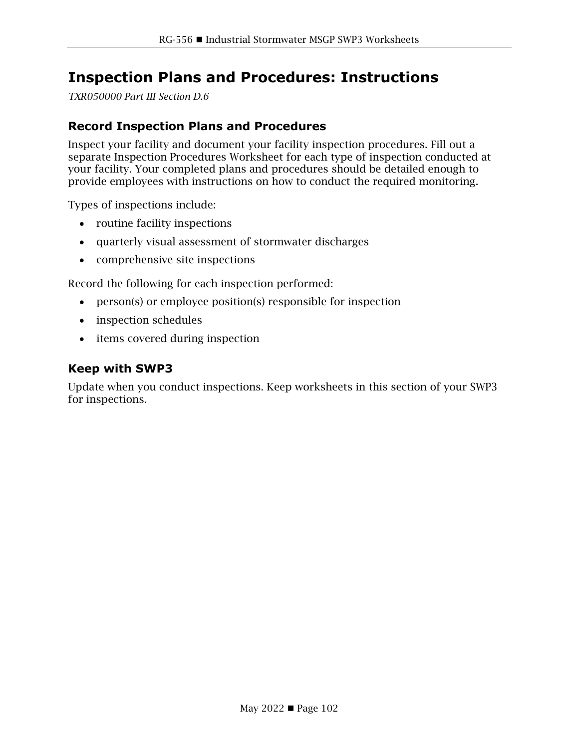## <span id="page-104-0"></span>**Inspection Plans and Procedures: Instructions**

*TXR050000 Part III Section D.6*

### **Record Inspection Plans and Procedures**

Inspect your facility and document your facility inspection procedures. Fill out a separate Inspection Procedures Worksheet for each type of inspection conducted at your facility. Your completed plans and procedures should be detailed enough to provide employees with instructions on how to conduct the required monitoring.

Types of inspections include:

- routine facility inspections
- quarterly visual assessment of stormwater discharges
- comprehensive site inspections

Record the following for each inspection performed:

- person(s) or employee position(s) responsible for inspection
- inspection schedules
- items covered during inspection

### **Keep with SWP3**

Update when you conduct inspections. Keep worksheets in this section of your SWP3 for inspections.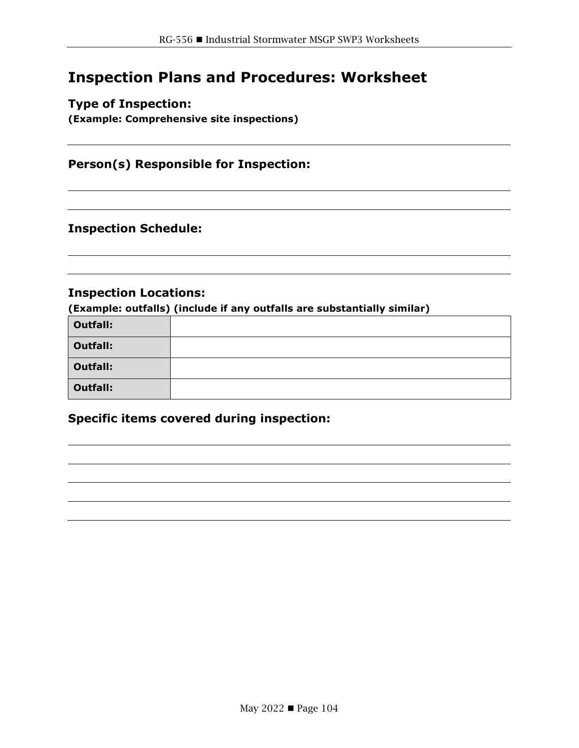# **Inspection Plans and Procedures: Worksheet**

### **Type of Inspection:**

**(Example: Comprehensive site inspections)**

**Person(s) Responsible for Inspection:**

### **Inspection Schedule:**

#### **Inspection Locations:**

**(Example: outfalls) (include if any outfalls are substantially similar)**

| <b>Outfall:</b> |  |
|-----------------|--|
| <b>Outfall:</b> |  |
| <b>Outfall:</b> |  |
| <b>Outfall:</b> |  |

### **Specific items covered during inspection:**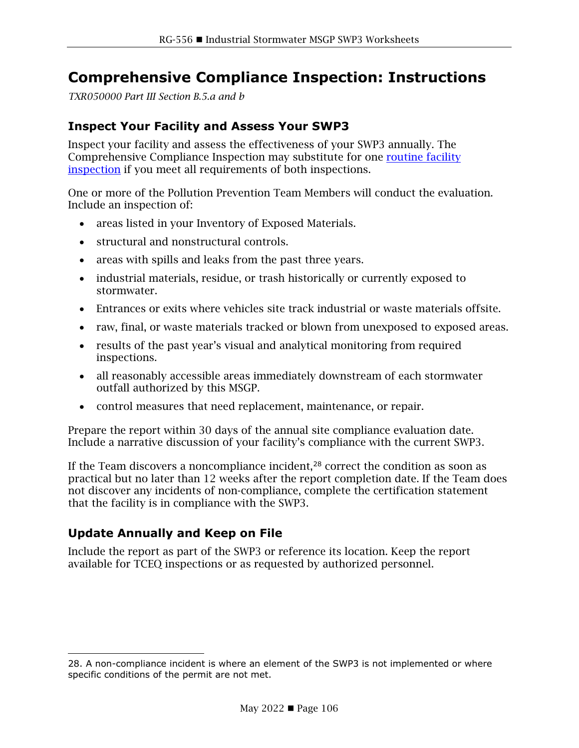# **Comprehensive Compliance Inspection: Instructions**

*TXR050000 Part III Section B.5.a and b*

### **Inspect Your Facility and Assess Your SWP3**

Inspect your facility and assess the effectiveness of your SWP3 annually. The Comprehensive Compliance Inspection may substitute for one [routine facility](#page-87-0)  [inspection](#page-87-0) if you meet all requirements of both inspections.

One or more of the Pollution Prevention Team Members will conduct the evaluation. Include an inspection of:

- areas listed in your Inventory of Exposed Materials.
- structural and nonstructural controls.
- areas with spills and leaks from the past three years.
- industrial materials, residue, or trash historically or currently exposed to stormwater.
- Entrances or exits where vehicles site track industrial or waste materials offsite.
- raw, final, or waste materials tracked or blown from unexposed to exposed areas.
- results of the past year's visual and analytical monitoring from required inspections.
- all reasonably accessible areas immediately downstream of each stormwater outfall authorized by this MSGP.
- control measures that need replacement, maintenance, or repair.

Prepare the report within 30 days of the annual site compliance evaluation date. Include a narrative discussion of your facility's compliance with the current SWP3.

If the Team discovers a noncompliance incident,<sup>[28](#page-108-0)</sup> correct the condition as soon as practical but no later than 12 weeks after the report completion date. If the Team does not discover any incidents of non-compliance, complete the certification statement that the facility is in compliance with the SWP3.

### **Update Annually and Keep on File**

Include the report as part of the SWP3 or reference its location. Keep the report available for TCEQ inspections or as requested by authorized personnel.

<span id="page-108-0"></span><sup>28.</sup> A non-compliance incident is where an element of the SWP3 is not implemented or where specific conditions of the permit are not met.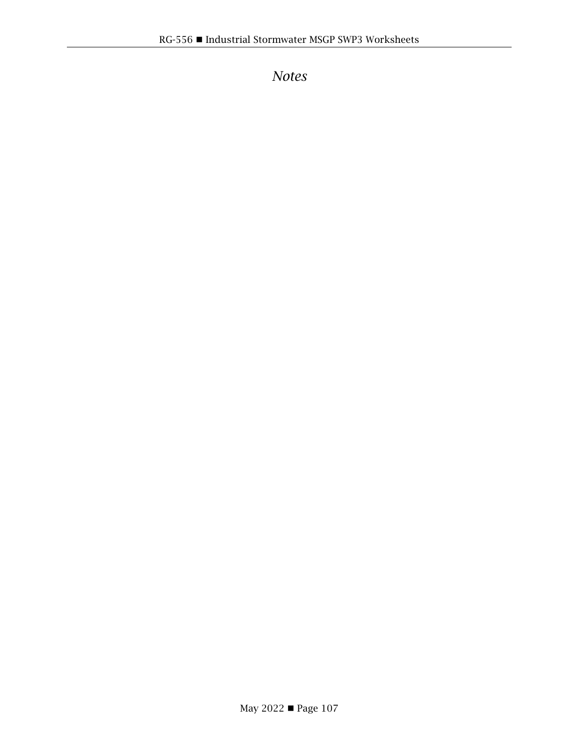*Notes*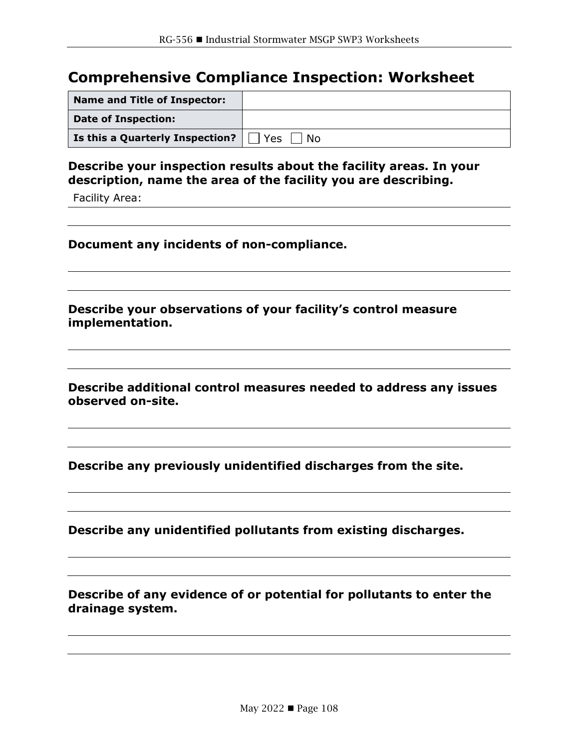## **Comprehensive Compliance Inspection: Worksheet**

| Name and Title of Inspector:           |                  |
|----------------------------------------|------------------|
| <b>Date of Inspection:</b>             |                  |
| <b>Is this a Quarterly Inspection?</b> | <b>Yes</b><br>Nο |

**Describe your inspection results about the facility areas. In your description, name the area of the facility you are describing.**

Facility Area:

**Document any incidents of non-compliance.**

**Describe your observations of your facility's control measure implementation.**

**Describe additional control measures needed to address any issues observed on-site.**

**Describe any previously unidentified discharges from the site.**

**Describe any unidentified pollutants from existing discharges.**

**Describe of any evidence of or potential for pollutants to enter the drainage system.**